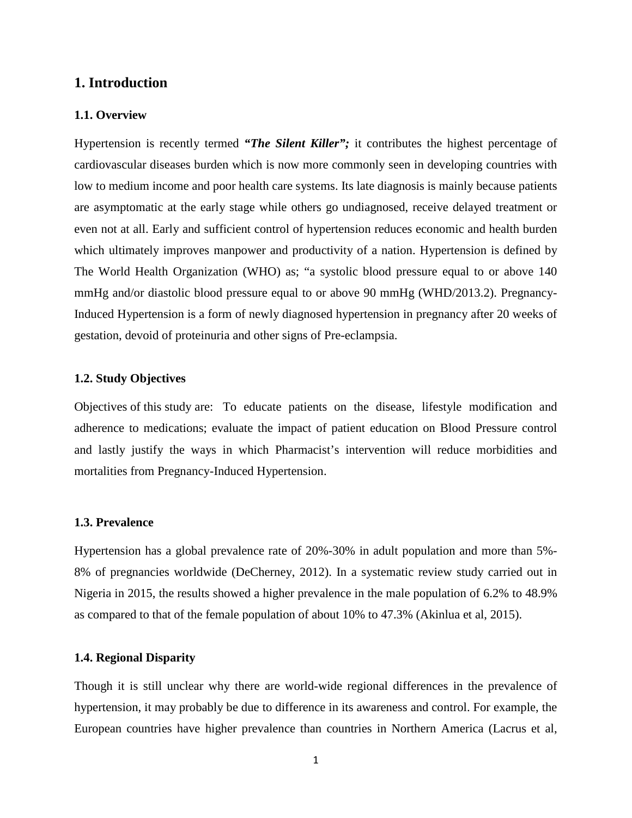# **1. Introduction**

#### **1.1. Overview**

Hypertension is recently termed *"The Silent Killer";* it contributes the highest percentage of cardiovascular diseases burden which is now more commonly seen in developing countries with low to medium income and poor health care systems. Its late diagnosis is mainly because patients are asymptomatic at the early stage while others go undiagnosed, receive delayed treatment or even not at all. Early and sufficient control of hypertension reduces economic and health burden which ultimately improves manpower and productivity of a nation. Hypertension is defined by The World Health Organization (WHO) as; "a systolic blood pressure equal to or above 140 mmHg and/or diastolic blood pressure equal to or above 90 mmHg (WHD/2013.2). Pregnancy-Induced Hypertension is a form of newly diagnosed hypertension in pregnancy after 20 weeks of gestation, devoid of proteinuria and other signs of Pre-eclampsia.

## **1.2. Study Objectives**

Objectives of this study are: To educate patients on the disease, lifestyle modification and adherence to medications; evaluate the impact of patient education on Blood Pressure control and lastly justify the ways in which Pharmacist's intervention will reduce morbidities and mortalities from Pregnancy-Induced Hypertension.

## **1.3. Prevalence**

Hypertension has a global prevalence rate of 20%-30% in adult population and more than 5%- 8% of pregnancies worldwide (DeCherney, 2012). In a systematic review study carried out in Nigeria in 2015, the results showed a higher prevalence in the male population of 6.2% to 48.9% as compared to that of the female population of about 10% to 47.3% (Akinlua et al, 2015).

## **1.4. Regional Disparity**

Though it is still unclear why there are world-wide regional differences in the prevalence of hypertension, it may probably be due to difference in its awareness and control. For example, the European countries have higher prevalence than countries in Northern America (Lacrus et al,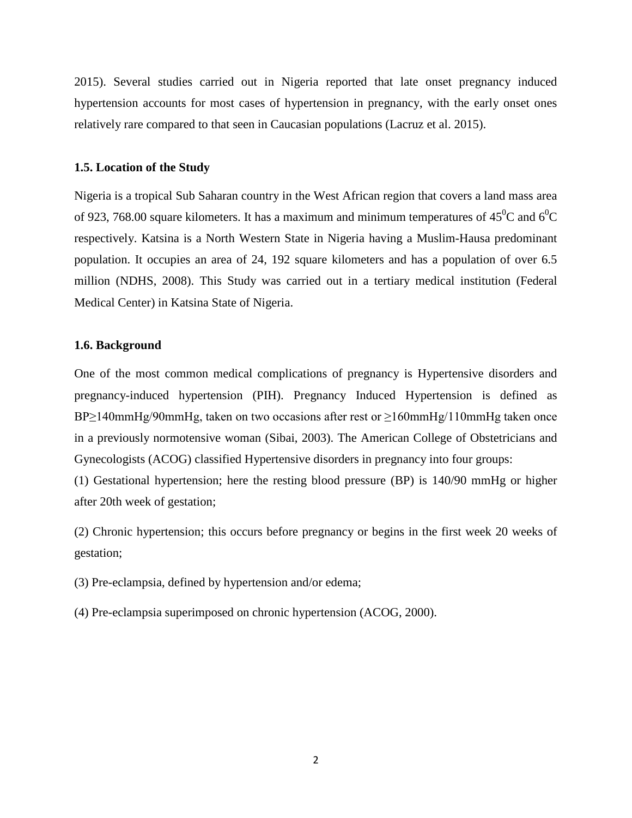2015). Several studies carried out in Nigeria reported that late onset pregnancy induced hypertension accounts for most cases of hypertension in pregnancy, with the early onset ones relatively rare compared to that seen in Caucasian populations (Lacruz et al. 2015).

## **1.5. Location of the Study**

Nigeria is a tropical Sub Saharan country in the West African region that covers a land mass area of 923, 768.00 square kilometers. It has a maximum and minimum temperatures of 45<sup>0</sup>C and 6<sup>0</sup>C respectively. Katsina is a North Western State in Nigeria having a Muslim-Hausa predominant population. It occupies an area of 24, 192 square kilometers and has a population of over 6.5 million (NDHS, 2008). This Study was carried out in a tertiary medical institution (Federal Medical Center) in Katsina State of Nigeria.

#### **1.6. Background**

One of the most common medical complications of pregnancy is Hypertensive disorders and pregnancy-induced hypertension (PIH). Pregnancy Induced Hypertension is defined as BP≥140mmHg/90mmHg, taken on two occasions after rest or ≥160mmHg/110mmHg taken once in a previously normotensive woman (Sibai, 2003). The American College of Obstetricians and Gynecologists (ACOG) classified Hypertensive disorders in pregnancy into four groups:

(1) Gestational hypertension; here the resting blood pressure (BP) is 140/90 mmHg or higher after 20th week of gestation;

(2) Chronic hypertension; this occurs before pregnancy or begins in the first week 20 weeks of gestation;

(3) Pre-eclampsia, defined by hypertension and/or edema;

(4) Pre-eclampsia superimposed on chronic hypertension (ACOG, 2000).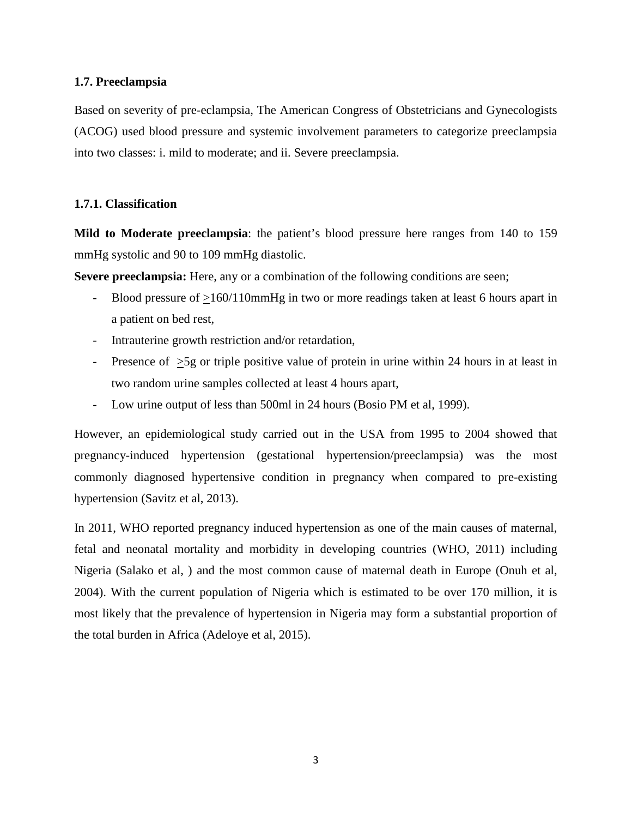## **1.7. Preeclampsia**

Based on severity of pre-eclampsia, The American Congress of Obstetricians and Gynecologists (ACOG) used blood pressure and systemic involvement parameters to categorize preeclampsia into two classes: i. mild to moderate; and ii. Severe preeclampsia.

## **1.7.1. Classification**

**Mild to Moderate preeclampsia**: the patient's blood pressure here ranges from 140 to 159 mmHg systolic and 90 to 109 mmHg diastolic.

**Severe preeclampsia:** Here, any or a combination of the following conditions are seen;

- Blood pressure of >160/110mmHg in two or more readings taken at least 6 hours apart in a patient on bed rest,
- Intrauterine growth restriction and/or retardation,
- Presence of  $\geq 5g$  or triple positive value of protein in urine within 24 hours in at least in two random urine samples collected at least 4 hours apart,
- Low urine output of less than 500ml in 24 hours (Bosio PM et al, 1999).

However, an epidemiological study carried out in the USA from 1995 to 2004 showed that pregnancy-induced hypertension (gestational hypertension/preeclampsia) was the most commonly diagnosed hypertensive condition in pregnancy when compared to pre-existing hypertension (Savitz et al, 2013).

In 2011, WHO reported pregnancy induced hypertension as one of the main causes of maternal, fetal and neonatal mortality and morbidity in developing countries (WHO, 2011) including Nigeria (Salako et al, ) and the most common cause of maternal death in Europe (Onuh et al, 2004). With the current population of Nigeria which is estimated to be over 170 million, it is most likely that the prevalence of hypertension in Nigeria may form a substantial proportion of the total burden in Africa (Adeloye et al, 2015).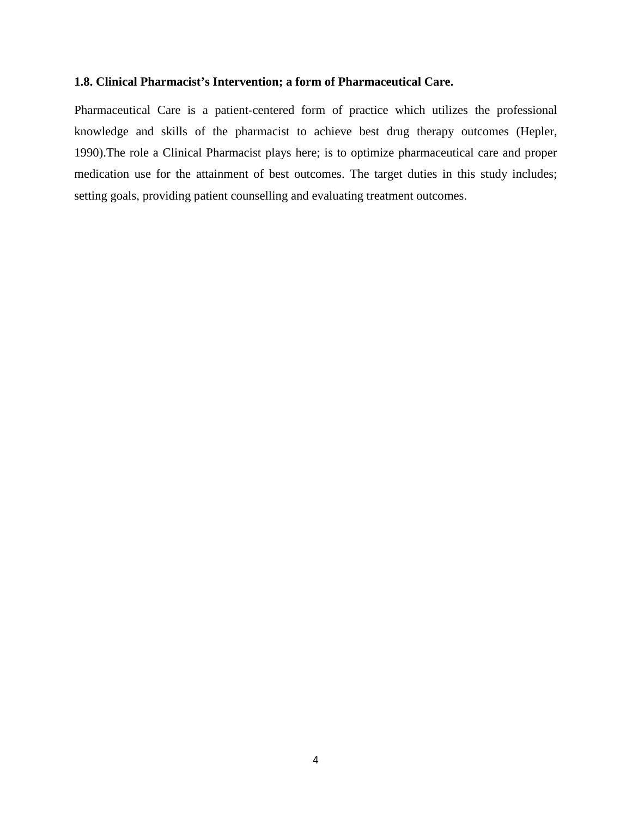## **1.8. Clinical Pharmacist's Intervention; a form of Pharmaceutical Care.**

Pharmaceutical Care is a patient-centered form of practice which utilizes the professional knowledge and skills of the pharmacist to achieve best drug therapy outcomes (Hepler, 1990).The role a Clinical Pharmacist plays here; is to optimize pharmaceutical care and proper medication use for the attainment of best outcomes. The target duties in this study includes; setting goals, providing patient counselling and evaluating treatment outcomes.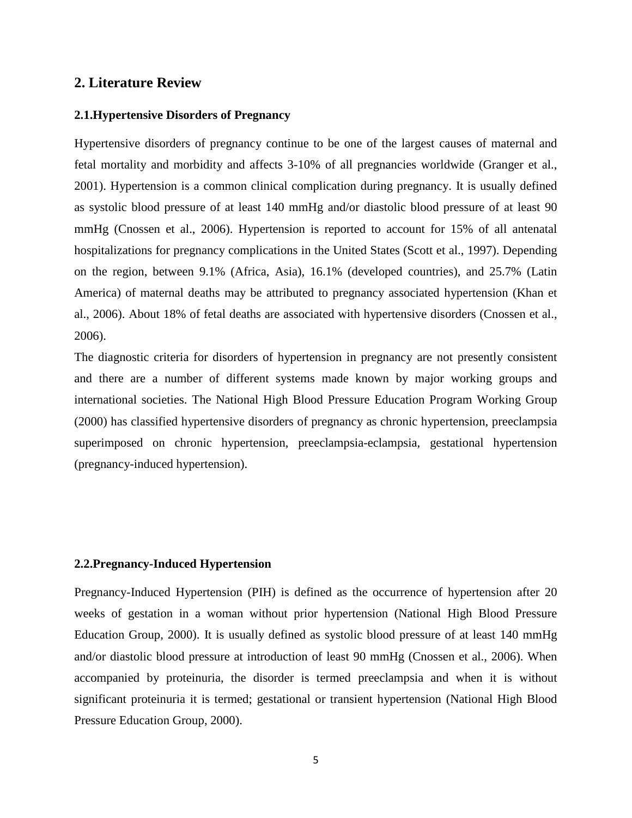## **2. Literature Review**

#### **2.1.Hypertensive Disorders of Pregnancy**

Hypertensive disorders of pregnancy continue to be one of the largest causes of maternal and fetal mortality and morbidity and affects 3-10% of all pregnancies worldwide (Granger et al., 2001). Hypertension is a common clinical complication during pregnancy. It is usually defined as systolic blood pressure of at least 140 mmHg and/or diastolic blood pressure of at least 90 mmHg (Cnossen et al., 2006). Hypertension is reported to account for 15% of all antenatal hospitalizations for pregnancy complications in the United States (Scott et al., 1997). Depending on the region, between 9.1% (Africa, Asia), 16.1% (developed countries), and 25.7% (Latin America) of maternal deaths may be attributed to pregnancy associated hypertension (Khan et al., 2006). About 18% of fetal deaths are associated with hypertensive disorders (Cnossen et al., 2006).

The diagnostic criteria for disorders of hypertension in pregnancy are not presently consistent and there are a number of different systems made known by major working groups and international societies. The National High Blood Pressure Education Program Working Group (2000) has classified hypertensive disorders of pregnancy as chronic hypertension, preeclampsia superimposed on chronic hypertension, preeclampsia-eclampsia, gestational hypertension (pregnancy-induced hypertension).

## **2.2.Pregnancy-Induced Hypertension**

Pregnancy-Induced Hypertension (PIH) is defined as the occurrence of hypertension after 20 weeks of gestation in a woman without prior hypertension (National High Blood Pressure Education Group, 2000). It is usually defined as systolic blood pressure of at least 140 mmHg and/or diastolic blood pressure at introduction of least 90 mmHg (Cnossen et al., 2006). When accompanied by proteinuria, the disorder is termed preeclampsia and when it is without significant proteinuria it is termed; gestational or transient hypertension (National High Blood Pressure Education Group, 2000).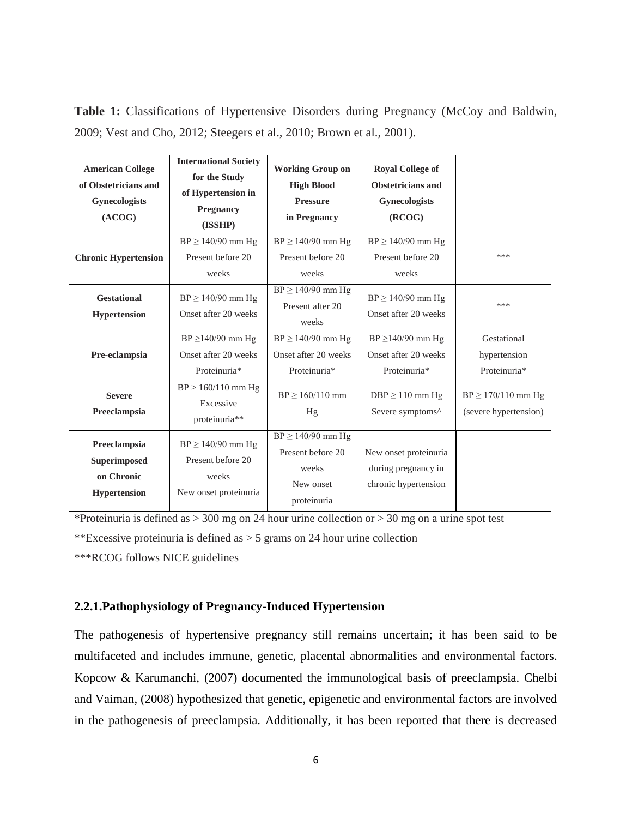| <b>American College</b><br>of Obstetricians and<br>Gynecologists<br>(ACOG) | <b>International Society</b><br>for the Study<br>of Hypertension in<br><b>Pregnancy</b><br>(ISSHP) | <b>Working Group on</b><br><b>High Blood</b><br><b>Pressure</b><br>in Pregnancy | <b>Royal College of</b><br><b>Obstetricians and</b><br><b>Gynecologists</b><br>(RCOG) |                                                 |
|----------------------------------------------------------------------------|----------------------------------------------------------------------------------------------------|---------------------------------------------------------------------------------|---------------------------------------------------------------------------------------|-------------------------------------------------|
| <b>Chronic Hypertension</b>                                                | $BP \ge 140/90$ mm Hg<br>Present before 20<br>weeks                                                | $BP \ge 140/90$ mm Hg<br>Present before 20<br>weeks                             | $BP \ge 140/90$ mm Hg<br>Present before 20<br>weeks                                   | ***                                             |
| <b>Gestational</b><br><b>Hypertension</b>                                  | $BP \ge 140/90$ mm Hg<br>Onset after 20 weeks                                                      | $BP \ge 140/90$ mm Hg<br>Present after 20<br>weeks                              | $BP \ge 140/90$ mm Hg<br>Onset after 20 weeks                                         | ***                                             |
| Pre-eclampsia                                                              | $BP \geq 140/90$ mm Hg<br>Onset after 20 weeks<br>Proteinuria*                                     | $BP \ge 140/90$ mm Hg<br>Onset after 20 weeks<br>Proteinuria*                   | $BP \ge 140/90$ mm Hg<br>Onset after 20 weeks<br>Proteinuria*                         | Gestational<br>hypertension<br>Proteinuria*     |
| <b>Severe</b><br>Preeclampsia                                              | $BP > 160/110$ mm Hg<br>Excessive<br>proteinuria**                                                 | $BP > 160/110$ mm<br>Hg                                                         | $DBP \ge 110$ mm Hg<br>Severe symptoms^                                               | $BP \ge 170/110$ mm Hg<br>(severe hypertension) |
| Preeclampsia<br>Superimposed<br>on Chronic<br><b>Hypertension</b>          | $BP \ge 140/90$ mm Hg<br>Present before 20<br>weeks<br>New onset proteinuria                       | $BP \ge 140/90$ mm Hg<br>Present before 20<br>weeks<br>New onset<br>proteinuria | New onset proteinuria<br>during pregnancy in<br>chronic hypertension                  |                                                 |

**Table 1:** Classifications of Hypertensive Disorders during Pregnancy (McCoy and Baldwin, 2009; Vest and Cho, 2012; Steegers et al., 2010; Brown et al., 2001).

\*Proteinuria is defined as  $>$  300 mg on 24 hour urine collection or  $>$  30 mg on a urine spot test

\*\*Excessive proteinuria is defined as  $>$  5 grams on 24 hour urine collection

\*\*\*RCOG follows NICE guidelines

## **2.2.1.Pathophysiology of Pregnancy-Induced Hypertension**

The pathogenesis of hypertensive pregnancy still remains uncertain; it has been said to be multifaceted and includes immune, genetic, placental abnormalities and environmental factors. Kopcow & Karumanchi, (2007) documented the immunological basis of preeclampsia. Chelbi and Vaiman, (2008) hypothesized that genetic, epigenetic and environmental factors are involved in the pathogenesis of preeclampsia. Additionally, it has been reported that there is decreased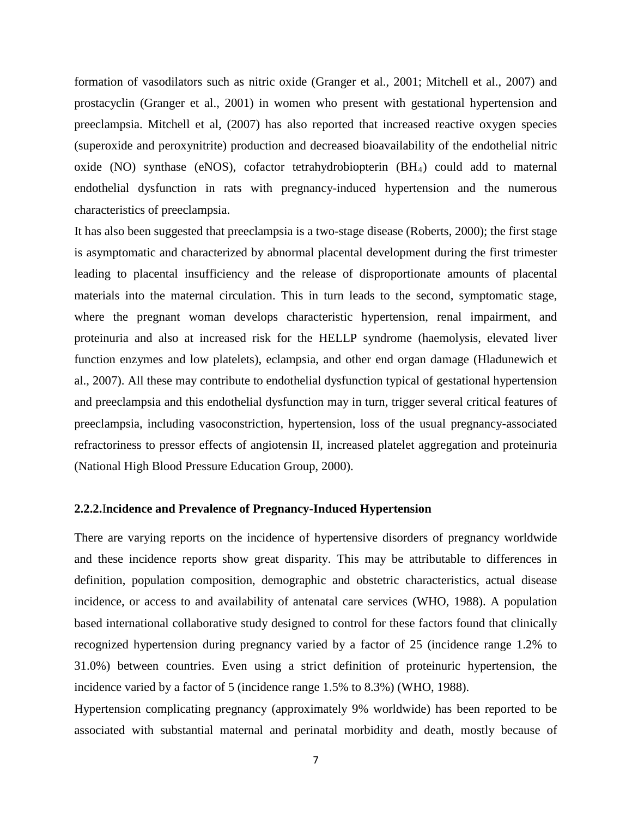formation of vasodilators such as nitric oxide (Granger et al., 2001; Mitchell et al., 2007) and prostacyclin (Granger et al., 2001) in women who present with gestational hypertension and preeclampsia. Mitchell et al, (2007) has also reported that increased reactive oxygen species (superoxide and peroxynitrite) production and decreased bioavailability of the endothelial nitric oxide (NO) synthase (eNOS), cofactor tetrahydrobiopterin (BH4) could add to maternal endothelial dysfunction in rats with pregnancy-induced hypertension and the numerous characteristics of preeclampsia.

It has also been suggested that preeclampsia is a two-stage disease (Roberts, 2000); the first stage is asymptomatic and characterized by abnormal placental development during the first trimester leading to placental insufficiency and the release of disproportionate amounts of placental materials into the maternal circulation. This in turn leads to the second, symptomatic stage, where the pregnant woman develops characteristic hypertension, renal impairment, and proteinuria and also at increased risk for the HELLP syndrome (haemolysis, elevated liver function enzymes and low platelets), eclampsia, and other end organ damage (Hladunewich et al., 2007). All these may contribute to endothelial dysfunction typical of gestational hypertension and preeclampsia and this endothelial dysfunction may in turn, trigger several critical features of preeclampsia, including vasoconstriction, hypertension, loss of the usual pregnancy-associated refractoriness to pressor effects of angiotensin II, increased platelet aggregation and proteinuria (National High Blood Pressure Education Group, 2000).

## **2.2.2.**I**ncidence and Prevalence of Pregnancy-Induced Hypertension**

There are varying reports on the incidence of hypertensive disorders of pregnancy worldwide and these incidence reports show great disparity. This may be attributable to differences in definition, population composition, demographic and obstetric characteristics, actual disease incidence, or access to and availability of antenatal care services (WHO, 1988). A population based international collaborative study designed to control for these factors found that clinically recognized hypertension during pregnancy varied by a factor of 25 (incidence range 1.2% to 31.0%) between countries. Even using a strict definition of proteinuric hypertension, the incidence varied by a factor of 5 (incidence range 1.5% to 8.3%) (WHO, 1988).

Hypertension complicating pregnancy (approximately 9% worldwide) has been reported to be associated with substantial maternal and perinatal morbidity and death, mostly because of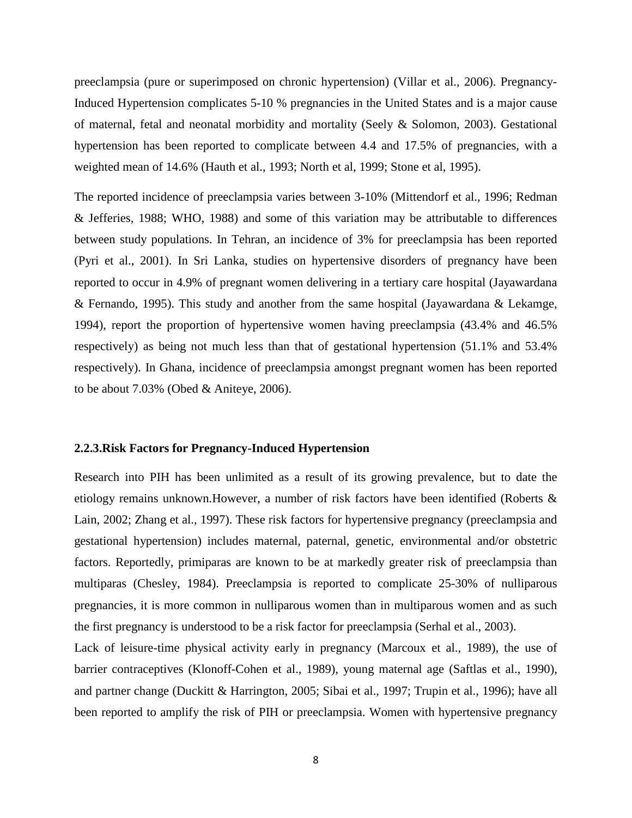preeclampsia (pure or superimposed on chronic hypertension) (Villar et al., 2006). Pregnancy-Induced Hypertension complicates 5-10 % pregnancies in the United States and is a major cause of maternal, fetal and neonatal morbidity and mortality (Seely & Solomon, 2003). Gestational hypertension has been reported to complicate between 4.4 and 17.5% of pregnancies, with a weighted mean of 14.6% (Hauth et al., 1993; North et al, 1999; Stone et al, 1995).

The reported incidence of preeclampsia varies between 3-10% (Mittendorf et al., 1996; Redman & Jefferies, 1988; WHO, 1988) and some of this variation may be attributable to differences between study populations. In Tehran, an incidence of 3% for preeclampsia has been reported (Pyri et al., 2001). In Sri Lanka, studies on hypertensive disorders of pregnancy have been reported to occur in 4.9% of pregnant women delivering in a tertiary care hospital (Jayawardana & Fernando, 1995). This study and another from the same hospital (Jayawardana & Lekamge, 1994), report the proportion of hypertensive women having preeclampsia (43.4% and 46.5% respectively) as being not much less than that of gestational hypertension (51.1% and 53.4% respectively). In Ghana, incidence of preeclampsia amongst pregnant women has been reported to be about 7.03% (Obed & Aniteye, 2006).

## **2.2.3.Risk Factors for Pregnancy-Induced Hypertension**

Research into PIH has been unlimited as a result of its growing prevalence, but to date the etiology remains unknown.However, a number of risk factors have been identified (Roberts & Lain, 2002; Zhang et al., 1997). These risk factors for hypertensive pregnancy (preeclampsia and gestational hypertension) includes maternal, paternal, genetic, environmental and/or obstetric factors. Reportedly, primiparas are known to be at markedly greater risk of preeclampsia than multiparas (Chesley, 1984). Preeclampsia is reported to complicate 25-30% of nulliparous pregnancies, it is more common in nulliparous women than in multiparous women and as such the first pregnancy is understood to be a risk factor for preeclampsia (Serhal et al., 2003).

Lack of leisure-time physical activity early in pregnancy (Marcoux et al., 1989), the use of barrier contraceptives (Klonoff-Cohen et al., 1989), young maternal age (Saftlas et al., 1990), and partner change (Duckitt & Harrington, 2005; Sibai et al., 1997; Trupin et al., 1996); have all been reported to amplify the risk of PIH or preeclampsia. Women with hypertensive pregnancy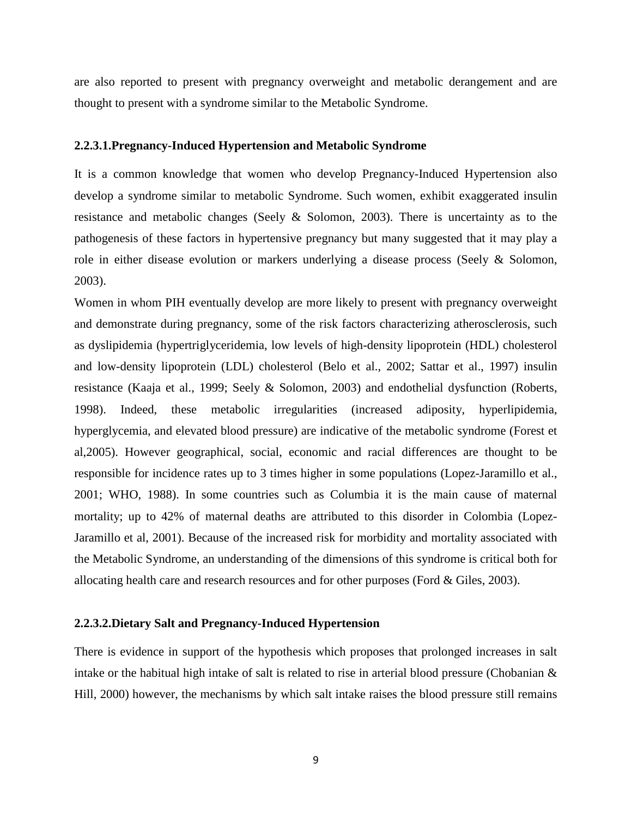are also reported to present with pregnancy overweight and metabolic derangement and are thought to present with a syndrome similar to the Metabolic Syndrome.

#### **2.2.3.1.Pregnancy-Induced Hypertension and Metabolic Syndrome**

It is a common knowledge that women who develop Pregnancy-Induced Hypertension also develop a syndrome similar to metabolic Syndrome. Such women, exhibit exaggerated insulin resistance and metabolic changes (Seely & Solomon, 2003). There is uncertainty as to the pathogenesis of these factors in hypertensive pregnancy but many suggested that it may play a role in either disease evolution or markers underlying a disease process (Seely & Solomon, 2003).

Women in whom PIH eventually develop are more likely to present with pregnancy overweight and demonstrate during pregnancy, some of the risk factors characterizing atherosclerosis, such as dyslipidemia (hypertriglyceridemia, low levels of high-density lipoprotein (HDL) cholesterol and low-density lipoprotein (LDL) cholesterol (Belo et al., 2002; Sattar et al., 1997) insulin resistance (Kaaja et al., 1999; Seely & Solomon, 2003) and endothelial dysfunction (Roberts, 1998). Indeed, these metabolic irregularities (increased adiposity, hyperlipidemia, hyperglycemia, and elevated blood pressure) are indicative of the metabolic syndrome (Forest et al,2005). However geographical, social, economic and racial differences are thought to be responsible for incidence rates up to 3 times higher in some populations (Lopez-Jaramillo et al., 2001; WHO, 1988). In some countries such as Columbia it is the main cause of maternal mortality; up to 42% of maternal deaths are attributed to this disorder in Colombia (Lopez-Jaramillo et al, 2001). Because of the increased risk for morbidity and mortality associated with the Metabolic Syndrome, an understanding of the dimensions of this syndrome is critical both for allocating health care and research resources and for other purposes (Ford & Giles, 2003).

#### **2.2.3.2.Dietary Salt and Pregnancy-Induced Hypertension**

There is evidence in support of the hypothesis which proposes that prolonged increases in salt intake or the habitual high intake of salt is related to rise in arterial blood pressure (Chobanian & Hill, 2000) however, the mechanisms by which salt intake raises the blood pressure still remains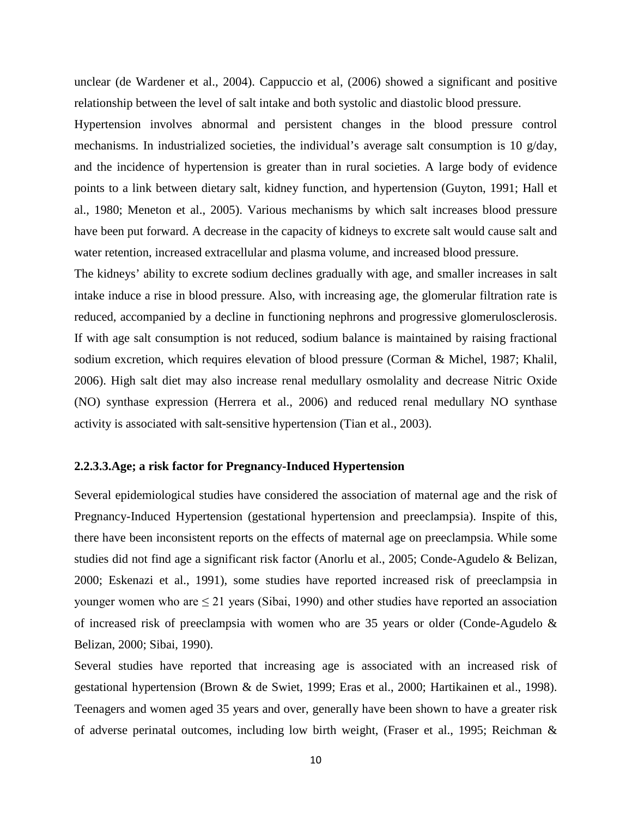unclear (de Wardener et al., 2004). Cappuccio et al, (2006) showed a significant and positive relationship between the level of salt intake and both systolic and diastolic blood pressure.

Hypertension involves abnormal and persistent changes in the blood pressure control mechanisms. In industrialized societies, the individual's average salt consumption is 10 g/day, and the incidence of hypertension is greater than in rural societies. A large body of evidence points to a link between dietary salt, kidney function, and hypertension (Guyton, 1991; Hall et al., 1980; Meneton et al., 2005). Various mechanisms by which salt increases blood pressure have been put forward. A decrease in the capacity of kidneys to excrete salt would cause salt and water retention, increased extracellular and plasma volume, and increased blood pressure.

The kidneys' ability to excrete sodium declines gradually with age, and smaller increases in salt intake induce a rise in blood pressure. Also, with increasing age, the glomerular filtration rate is reduced, accompanied by a decline in functioning nephrons and progressive glomerulosclerosis. If with age salt consumption is not reduced, sodium balance is maintained by raising fractional sodium excretion, which requires elevation of blood pressure (Corman & Michel, 1987; Khalil, 2006). High salt diet may also increase renal medullary osmolality and decrease Nitric Oxide (NO) synthase expression (Herrera et al., 2006) and reduced renal medullary NO synthase activity is associated with salt-sensitive hypertension (Tian et al., 2003).

#### **2.2.3.3.Age; a risk factor for Pregnancy-Induced Hypertension**

Several epidemiological studies have considered the association of maternal age and the risk of Pregnancy-Induced Hypertension (gestational hypertension and preeclampsia). Inspite of this, there have been inconsistent reports on the effects of maternal age on preeclampsia. While some studies did not find age a significant risk factor (Anorlu et al., 2005; Conde-Agudelo & Belizan, 2000; Eskenazi et al., 1991), some studies have reported increased risk of preeclampsia in younger women who are  $\leq$  21 years (Sibai, 1990) and other studies have reported an association of increased risk of preeclampsia with women who are 35 years or older (Conde-Agudelo & Belizan, 2000; Sibai, 1990).

Several studies have reported that increasing age is associated with an increased risk of gestational hypertension (Brown & de Swiet, 1999; Eras et al., 2000; Hartikainen et al., 1998). Teenagers and women aged 35 years and over, generally have been shown to have a greater risk of adverse perinatal outcomes, including low birth weight, (Fraser et al., 1995; Reichman &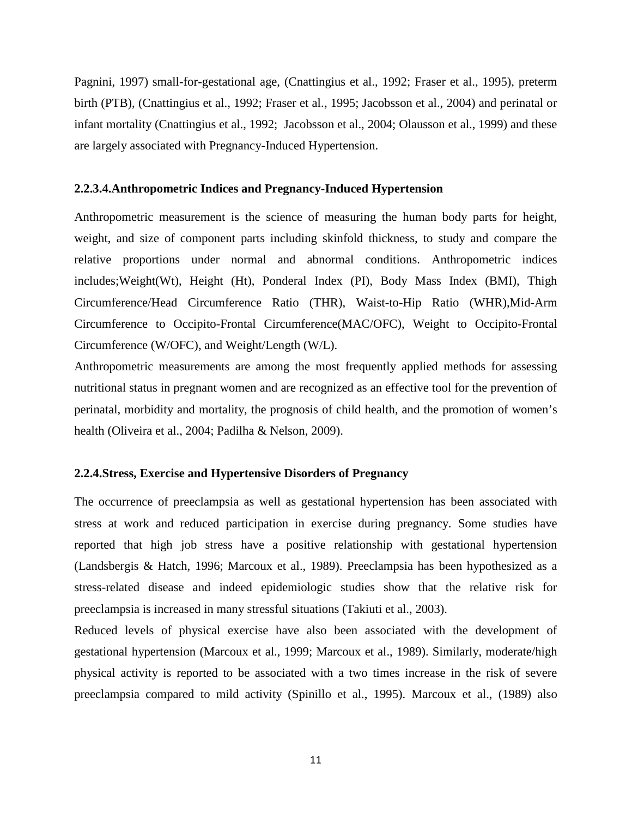Pagnini, 1997) small-for-gestational age, (Cnattingius et al., 1992; Fraser et al., 1995), preterm birth (PTB), (Cnattingius et al., 1992; Fraser et al., 1995; Jacobsson et al., 2004) and perinatal or infant mortality (Cnattingius et al., 1992; Jacobsson et al., 2004; Olausson et al., 1999) and these are largely associated with Pregnancy-Induced Hypertension.

#### **2.2.3.4.Anthropometric Indices and Pregnancy-Induced Hypertension**

Anthropometric measurement is the science of measuring the human body parts for height, weight, and size of component parts including skinfold thickness, to study and compare the relative proportions under normal and abnormal conditions. Anthropometric indices includes;Weight(Wt), Height (Ht), Ponderal Index (PI), Body Mass Index (BMI), Thigh Circumference/Head Circumference Ratio (THR), Waist-to-Hip Ratio (WHR),Mid-Arm Circumference to Occipito-Frontal Circumference(MAC/OFC), Weight to Occipito-Frontal Circumference (W/OFC), and Weight/Length (W/L).

Anthropometric measurements are among the most frequently applied methods for assessing nutritional status in pregnant women and are recognized as an effective tool for the prevention of perinatal, morbidity and mortality, the prognosis of child health, and the promotion of women's health (Oliveira et al., 2004; Padilha & Nelson, 2009).

## **2.2.4.Stress, Exercise and Hypertensive Disorders of Pregnancy**

The occurrence of preeclampsia as well as gestational hypertension has been associated with stress at work and reduced participation in exercise during pregnancy. Some studies have reported that high job stress have a positive relationship with gestational hypertension (Landsbergis & Hatch, 1996; Marcoux et al., 1989). Preeclampsia has been hypothesized as a stress-related disease and indeed epidemiologic studies show that the relative risk for preeclampsia is increased in many stressful situations (Takiuti et al., 2003).

Reduced levels of physical exercise have also been associated with the development of gestational hypertension (Marcoux et al., 1999; Marcoux et al., 1989). Similarly, moderate/high physical activity is reported to be associated with a two times increase in the risk of severe preeclampsia compared to mild activity (Spinillo et al., 1995). Marcoux et al., (1989) also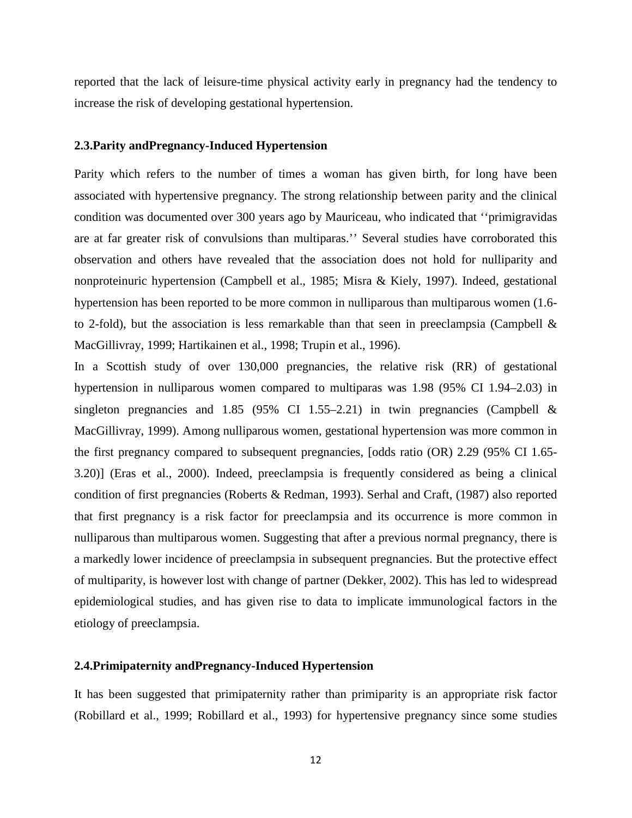reported that the lack of leisure-time physical activity early in pregnancy had the tendency to increase the risk of developing gestational hypertension.

#### **2.3.Parity andPregnancy-Induced Hypertension**

Parity which refers to the number of times a woman has given birth, for long have been associated with hypertensive pregnancy. The strong relationship between parity and the clinical condition was documented over 300 years ago by Mauriceau, who indicated that ''primigravidas are at far greater risk of convulsions than multiparas.'' Several studies have corroborated this observation and others have revealed that the association does not hold for nulliparity and nonproteinuric hypertension (Campbell et al., 1985; Misra & Kiely, 1997). Indeed, gestational hypertension has been reported to be more common in nulliparous than multiparous women (1.6 to 2-fold), but the association is less remarkable than that seen in preeclampsia (Campbell  $\&$ MacGillivray, 1999; Hartikainen et al., 1998; Trupin et al., 1996).

In a Scottish study of over 130,000 pregnancies, the relative risk (RR) of gestational hypertension in nulliparous women compared to multiparas was 1.98 (95% CI 1.94–2.03) in singleton pregnancies and 1.85 (95% CI 1.55–2.21) in twin pregnancies (Campbell  $\&$ MacGillivray, 1999). Among nulliparous women, gestational hypertension was more common in the first pregnancy compared to subsequent pregnancies, [odds ratio (OR) 2.29 (95% CI 1.65- 3.20)] (Eras et al., 2000). Indeed, preeclampsia is frequently considered as being a clinical condition of first pregnancies (Roberts & Redman, 1993). Serhal and Craft, (1987) also reported that first pregnancy is a risk factor for preeclampsia and its occurrence is more common in nulliparous than multiparous women. Suggesting that after a previous normal pregnancy, there is a markedly lower incidence of preeclampsia in subsequent pregnancies. But the protective effect of multiparity, is however lost with change of partner (Dekker, 2002). This has led to widespread epidemiological studies, and has given rise to data to implicate immunological factors in the etiology of preeclampsia.

#### **2.4.Primipaternity andPregnancy-Induced Hypertension**

It has been suggested that primipaternity rather than primiparity is an appropriate risk factor (Robillard et al., 1999; Robillard et al., 1993) for hypertensive pregnancy since some studies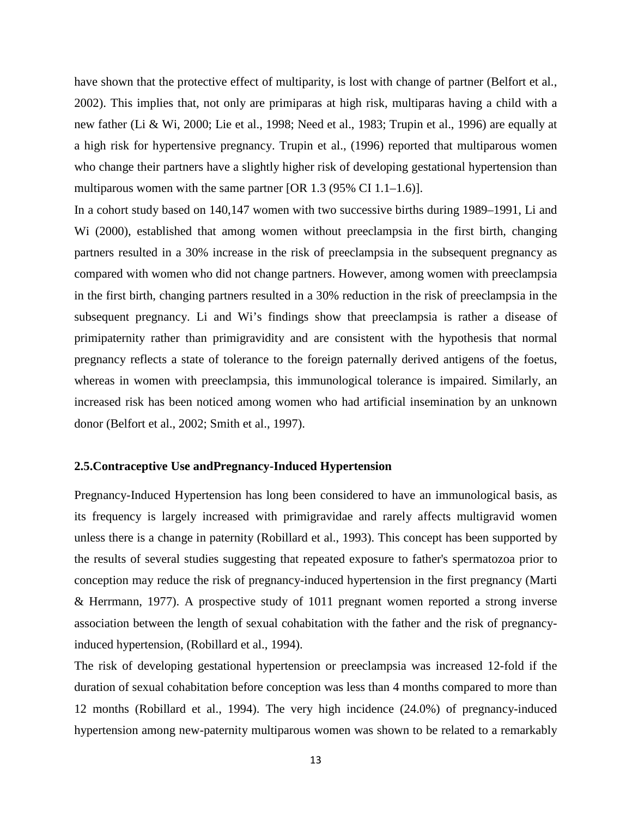have shown that the protective effect of multiparity, is lost with change of partner (Belfort et al., 2002). This implies that, not only are primiparas at high risk, multiparas having a child with a new father (Li & Wi, 2000; Lie et al., 1998; Need et al., 1983; Trupin et al., 1996) are equally at a high risk for hypertensive pregnancy. Trupin et al., (1996) reported that multiparous women who change their partners have a slightly higher risk of developing gestational hypertension than multiparous women with the same partner [OR 1.3 (95% CI 1.1–1.6)].

In a cohort study based on 140,147 women with two successive births during 1989–1991, Li and Wi (2000), established that among women without preeclampsia in the first birth, changing partners resulted in a 30% increase in the risk of preeclampsia in the subsequent pregnancy as compared with women who did not change partners. However, among women with preeclampsia in the first birth, changing partners resulted in a 30% reduction in the risk of preeclampsia in the subsequent pregnancy. Li and Wi's findings show that preeclampsia is rather a disease of primipaternity rather than primigravidity and are consistent with the hypothesis that normal pregnancy reflects a state of tolerance to the foreign paternally derived antigens of the foetus, whereas in women with preeclampsia, this immunological tolerance is impaired. Similarly, an increased risk has been noticed among women who had artificial insemination by an unknown donor (Belfort et al., 2002; Smith et al., 1997).

#### **2.5.Contraceptive Use andPregnancy-Induced Hypertension**

Pregnancy-Induced Hypertension has long been considered to have an immunological basis, as its frequency is largely increased with primigravidae and rarely affects multigravid women unless there is a change in paternity (Robillard et al., 1993). This concept has been supported by the results of several studies suggesting that repeated exposure to father's spermatozoa prior to conception may reduce the risk of pregnancy-induced hypertension in the first pregnancy (Marti & Herrmann, 1977). A prospective study of 1011 pregnant women reported a strong inverse association between the length of sexual cohabitation with the father and the risk of pregnancyinduced hypertension, (Robillard et al., 1994).

The risk of developing gestational hypertension or preeclampsia was increased 12-fold if the duration of sexual cohabitation before conception was less than 4 months compared to more than 12 months (Robillard et al., 1994). The very high incidence (24.0%) of pregnancy-induced hypertension among new-paternity multiparous women was shown to be related to a remarkably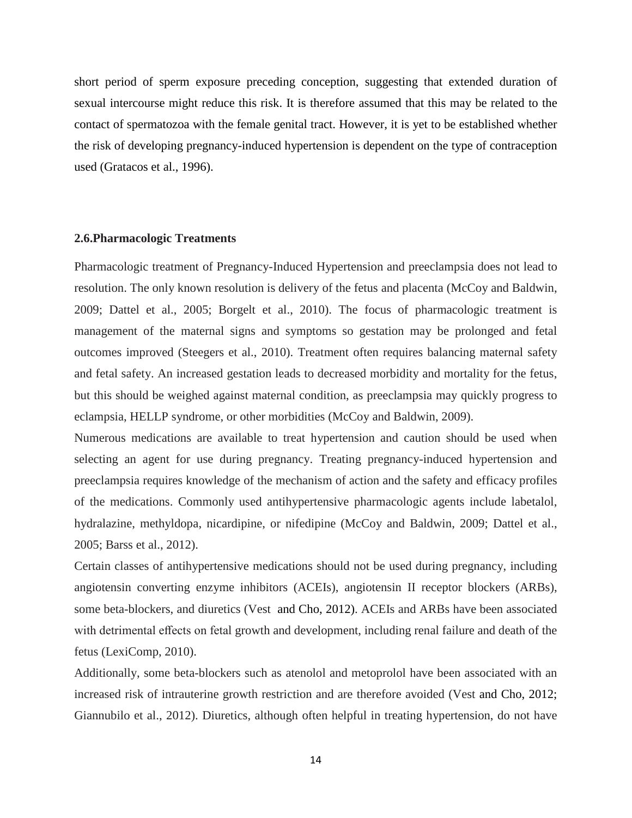short period of sperm exposure preceding conception, suggesting that extended duration of sexual intercourse might reduce this risk. It is therefore assumed that this may be related to the contact of spermatozoa with the female genital tract. However, it is yet to be established whether the risk of developing pregnancy-induced hypertension is dependent on the type of contraception used (Gratacos et al., 1996).

## **2.6.Pharmacologic Treatments**

Pharmacologic treatment of Pregnancy-Induced Hypertension and preeclampsia does not lead to resolution. The only known resolution is delivery of the fetus and placenta (McCoy and Baldwin, 2009; Dattel et al., 2005; Borgelt et al., 2010). The focus of pharmacologic treatment is management of the maternal signs and symptoms so gestation may be prolonged and fetal outcomes improved (Steegers et al., 2010). Treatment often requires balancing maternal safety and fetal safety. An increased gestation leads to decreased morbidity and mortality for the fetus, but this should be weighed against maternal condition, as preeclampsia may quickly progress to eclampsia, HELLP syndrome, or other morbidities (McCoy and Baldwin, 2009).

Numerous medications are available to treat hypertension and caution should be used when selecting an agent for use during pregnancy. Treating pregnancy-induced hypertension and preeclampsia requires knowledge of the mechanism of action and the safety and efficacy profiles of the medications. Commonly used antihypertensive pharmacologic agents include labetalol, hydralazine, methyldopa, nicardipine, or nifedipine (McCoy and Baldwin, 2009; Dattel et al., 2005; Barss et al., 2012).

Certain classes of antihypertensive medications should not be used during pregnancy, including angiotensin converting enzyme inhibitors (ACEIs), angiotensin II receptor blockers (ARBs), some beta-blockers, and diuretics (Vest and Cho, 2012). ACEIs and ARBs have been associated with detrimental effects on fetal growth and development, including renal failure and death of the fetus (LexiComp, 2010).

Additionally, some beta-blockers such as atenolol and metoprolol have been associated with an increased risk of intrauterine growth restriction and are therefore avoided (Vest and Cho, 2012; Giannubilo et al., 2012). Diuretics, although often helpful in treating hypertension, do not have

14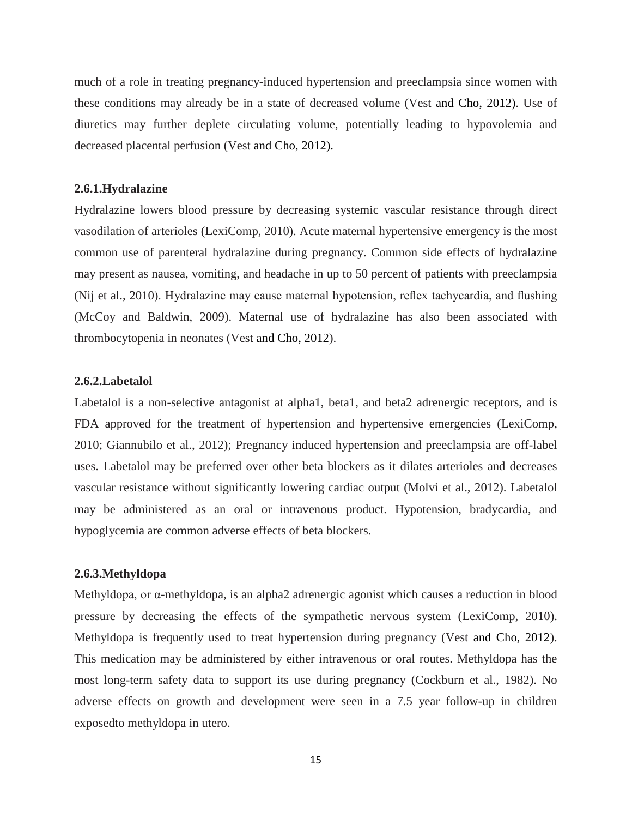much of a role in treating pregnancy-induced hypertension and preeclampsia since women with these conditions may already be in a state of decreased volume (Vest and Cho, 2012). Use of diuretics may further deplete circulating volume, potentially leading to hypovolemia and decreased placental perfusion (Vest and Cho, 2012).

## **2.6.1.Hydralazine**

Hydralazine lowers blood pressure by decreasing systemic vascular resistance through direct vasodilation of arterioles (LexiComp, 2010). Acute maternal hypertensive emergency is the most common use of parenteral hydralazine during pregnancy. Common side effects of hydralazine may present as nausea, vomiting, and headache in up to 50 percent of patients with preeclampsia (Nij et al., 2010). Hydralazine may cause maternal hypotension, reflex tachycardia, and flushing (McCoy and Baldwin, 2009). Maternal use of hydralazine has also been associated with thrombocytopenia in neonates (Vest and Cho, 2012).

## **2.6.2.Labetalol**

Labetalol is a non-selective antagonist at alpha1, beta1, and beta2 adrenergic receptors, and is FDA approved for the treatment of hypertension and hypertensive emergencies (LexiComp, 2010; Giannubilo et al., 2012); Pregnancy induced hypertension and preeclampsia are off-label uses. Labetalol may be preferred over other beta blockers as it dilates arterioles and decreases vascular resistance without significantly lowering cardiac output (Molvi et al., 2012). Labetalol may be administered as an oral or intravenous product. Hypotension, bradycardia, and hypoglycemia are common adverse effects of beta blockers.

## **2.6.3.Methyldopa**

Methyldopa, or α-methyldopa, is an alpha2 adrenergic agonist which causes a reduction in blood pressure by decreasing the effects of the sympathetic nervous system (LexiComp, 2010). Methyldopa is frequently used to treat hypertension during pregnancy (Vest and Cho, 2012). This medication may be administered by either intravenous or oral routes. Methyldopa has the most long-term safety data to support its use during pregnancy (Cockburn et al., 1982). No adverse effects on growth and development were seen in a 7.5 year follow-up in children exposedto methyldopa in utero.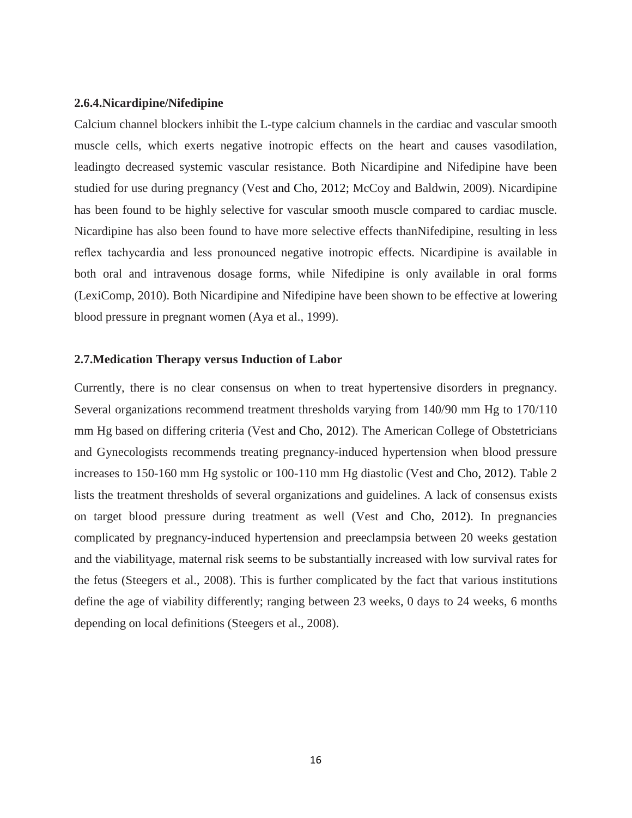#### **2.6.4.Nicardipine/Nifedipine**

Calcium channel blockers inhibit the L-type calcium channels in the cardiac and vascular smooth muscle cells, which exerts negative inotropic effects on the heart and causes vasodilation, leadingto decreased systemic vascular resistance. Both Nicardipine and Nifedipine have been studied for use during pregnancy (Vest and Cho, 2012; McCoy and Baldwin, 2009). Nicardipine has been found to be highly selective for vascular smooth muscle compared to cardiac muscle. Nicardipine has also been found to have more selective effects thanNifedipine, resulting in less reflex tachycardia and less pronounced negative inotropic effects. Nicardipine is available in both oral and intravenous dosage forms, while Nifedipine is only available in oral forms (LexiComp, 2010). Both Nicardipine and Nifedipine have been shown to be effective at lowering blood pressure in pregnant women (Aya et al., 1999).

#### **2.7.Medication Therapy versus Induction of Labor**

Currently, there is no clear consensus on when to treat hypertensive disorders in pregnancy. Several organizations recommend treatment thresholds varying from 140/90 mm Hg to 170/110 mm Hg based on differing criteria (Vest and Cho, 2012). The American College of Obstetricians and Gynecologists recommends treating pregnancy-induced hypertension when blood pressure increases to 150-160 mm Hg systolic or 100-110 mm Hg diastolic (Vest and Cho, 2012). Table 2 lists the treatment thresholds of several organizations and guidelines. A lack of consensus exists on target blood pressure during treatment as well (Vest and Cho, 2012). In pregnancies complicated by pregnancy-induced hypertension and preeclampsia between 20 weeks gestation and the viabilityage, maternal risk seems to be substantially increased with low survival rates for the fetus (Steegers et al., 2008). This is further complicated by the fact that various institutions define the age of viability differently; ranging between 23 weeks, 0 days to 24 weeks, 6 months depending on local definitions (Steegers et al., 2008).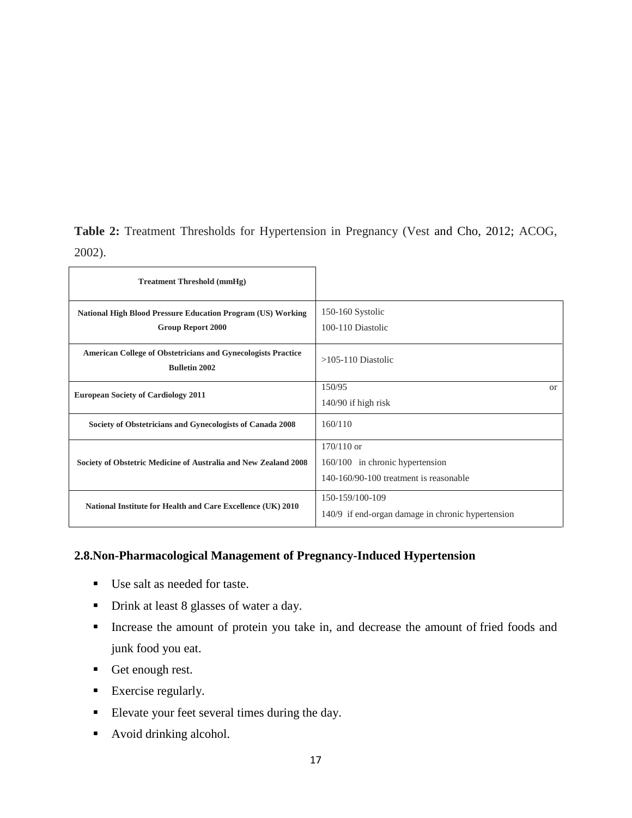**Table 2:** Treatment Thresholds for Hypertension in Pregnancy (Vest and Cho, 2012; ACOG, 2002).

| <b>Treatment Threshold (mmHg)</b>                                                           |                                                   |  |
|---------------------------------------------------------------------------------------------|---------------------------------------------------|--|
| <b>National High Blood Pressure Education Program (US) Working</b>                          | 150-160 Systolic                                  |  |
| <b>Group Report 2000</b>                                                                    | 100-110 Diastolic                                 |  |
| <b>American College of Obstetricians and Gynecologists Practice</b><br><b>Bulletin 2002</b> | $>105-110$ Diastolic                              |  |
| <b>European Society of Cardiology 2011</b>                                                  | 150/95<br>or                                      |  |
|                                                                                             | $140/90$ if high risk                             |  |
| Society of Obstetricians and Gynecologists of Canada 2008                                   | 160/110                                           |  |
|                                                                                             | $170/110$ or                                      |  |
| Society of Obstetric Medicine of Australia and New Zealand 2008                             | 160/100 in chronic hypertension                   |  |
|                                                                                             | 140-160/90-100 treatment is reasonable            |  |
| National Institute for Health and Care Excellence (UK) 2010                                 | 150-159/100-109                                   |  |
|                                                                                             | 140/9 if end-organ damage in chronic hypertension |  |

# **2.8.Non-Pharmacological Management of Pregnancy-Induced Hypertension**

- Use salt as needed for taste.
- Drink at least 8 glasses of water a day.
- Increase the amount of protein you take in, and decrease the amount of fried foods and junk food you eat.
- Get enough rest.
- [Exercise regularly.](http://americanpregnancy.org/pregnancy-health/exercise-during-pregnancy/)
- Elevate your feet several times during the day.
- [Avoid drinking alcohol.](http://americanpregnancy.org/pregnancy-health/pregnancy-and-alcohol/)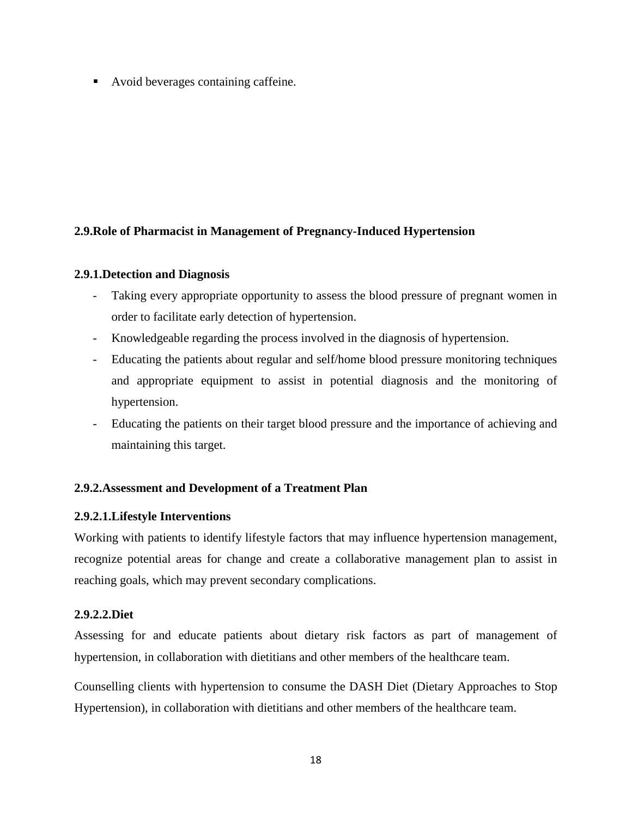• [Avoid beverages containing caffeine.](http://americanpregnancy.org/pregnancy-health/caffeine-during-pregnancy/)

# **2.9.Role of Pharmacist in Management of Pregnancy-Induced Hypertension**

# **2.9.1.Detection and Diagnosis**

- Taking every appropriate opportunity to assess the blood pressure of pregnant women in order to facilitate early detection of hypertension.
- Knowledgeable regarding the process involved in the diagnosis of hypertension.
- Educating the patients about regular and self/home blood pressure monitoring techniques and appropriate equipment to assist in potential diagnosis and the monitoring of hypertension.
- Educating the patients on their target blood pressure and the importance of achieving and maintaining this target.

# **2.9.2.Assessment and Development of a Treatment Plan**

# **2.9.2.1.Lifestyle Interventions**

Working with patients to identify lifestyle factors that may influence hypertension management, recognize potential areas for change and create a collaborative management plan to assist in reaching goals, which may prevent secondary complications.

# **2.9.2.2.Diet**

Assessing for and educate patients about dietary risk factors as part of management of hypertension, in collaboration with dietitians and other members of the healthcare team.

Counselling clients with hypertension to consume the DASH Diet (Dietary Approaches to Stop Hypertension), in collaboration with dietitians and other members of the healthcare team.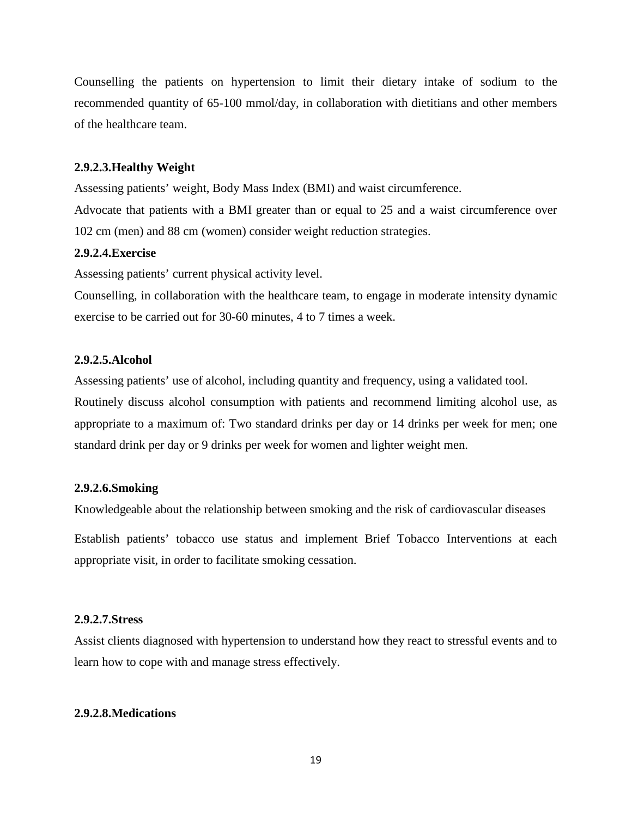Counselling the patients on hypertension to limit their dietary intake of sodium to the recommended quantity of 65-100 mmol/day, in collaboration with dietitians and other members of the healthcare team.

#### **2.9.2.3.Healthy Weight**

Assessing patients' weight, Body Mass Index (BMI) and waist circumference.

Advocate that patients with a BMI greater than or equal to 25 and a waist circumference over 102 cm (men) and 88 cm (women) consider weight reduction strategies.

## **2.9.2.4.Exercise**

Assessing patients' current physical activity level.

Counselling, in collaboration with the healthcare team, to engage in moderate intensity dynamic exercise to be carried out for 30-60 minutes, 4 to 7 times a week.

# **2.9.2.5.Alcohol**

Assessing patients' use of alcohol, including quantity and frequency, using a validated tool. Routinely discuss alcohol consumption with patients and recommend limiting alcohol use, as appropriate to a maximum of: Two standard drinks per day or 14 drinks per week for men; one standard drink per day or 9 drinks per week for women and lighter weight men.

## **2.9.2.6.Smoking**

Knowledgeable about the relationship between smoking and the risk of cardiovascular diseases

Establish patients' tobacco use status and implement Brief Tobacco Interventions at each appropriate visit, in order to facilitate smoking cessation.

#### **2.9.2.7.Stress**

Assist clients diagnosed with hypertension to understand how they react to stressful events and to learn how to cope with and manage stress effectively.

## **2.9.2.8.Medications**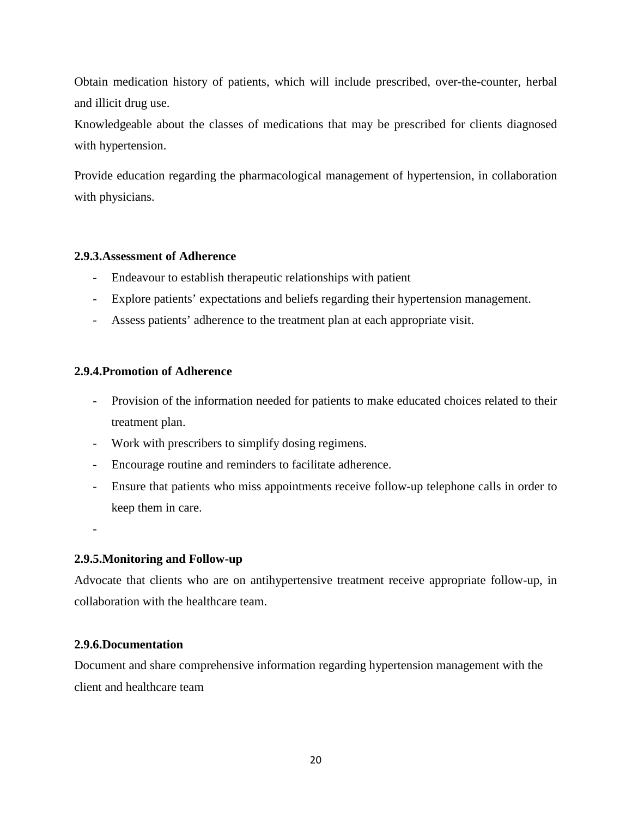Obtain medication history of patients, which will include prescribed, over-the-counter, herbal and illicit drug use.

Knowledgeable about the classes of medications that may be prescribed for clients diagnosed with hypertension.

Provide education regarding the pharmacological management of hypertension, in collaboration with physicians.

# **2.9.3.Assessment of Adherence**

- Endeavour to establish therapeutic relationships with patient
- Explore patients' expectations and beliefs regarding their hypertension management.
- Assess patients' adherence to the treatment plan at each appropriate visit.

# **2.9.4.Promotion of Adherence**

- Provision of the information needed for patients to make educated choices related to their treatment plan.
- Work with prescribers to simplify dosing regimens.
- Encourage routine and reminders to facilitate adherence.
- Ensure that patients who miss appointments receive follow-up telephone calls in order to keep them in care.

-

# **2.9.5.Monitoring and Follow-up**

Advocate that clients who are on antihypertensive treatment receive appropriate follow-up, in collaboration with the healthcare team.

# **2.9.6.Documentation**

Document and share comprehensive information regarding hypertension management with the client and healthcare team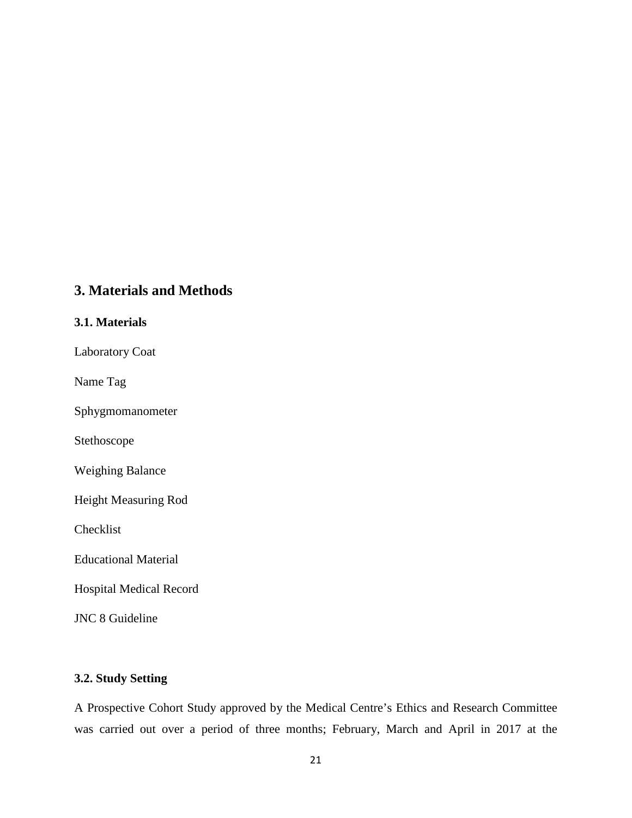# **3. Materials and Methods**

# **3.1. Materials**

Laboratory Coat

Name Tag

Sphygmomanometer

Stethoscope

Weighing Balance

Height Measuring Rod

Checklist

Educational Material

Hospital Medical Record

JNC 8 Guideline

# **3.2. Study Setting**

A Prospective Cohort Study approved by the Medical Centre's Ethics and Research Committee was carried out over a period of three months; February, March and April in 2017 at the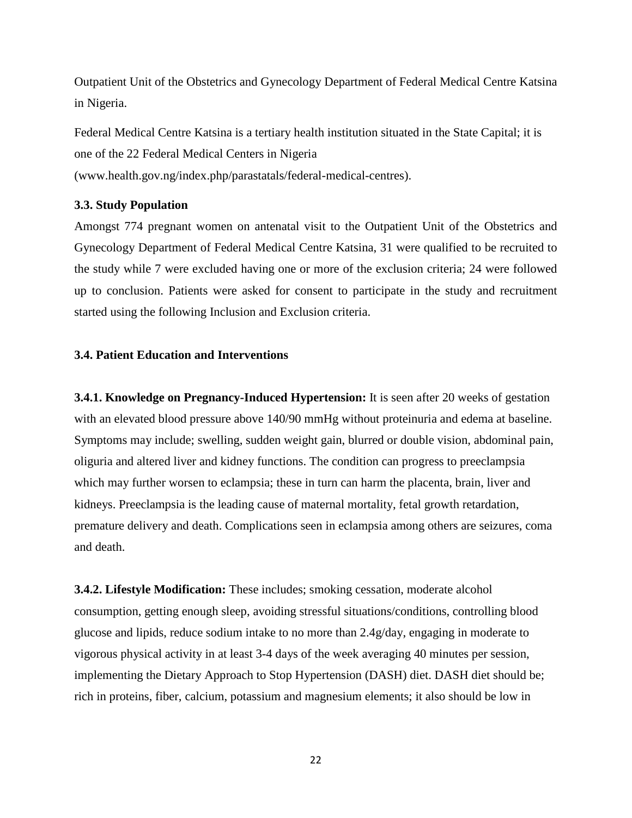Outpatient Unit of the Obstetrics and Gynecology Department of Federal Medical Centre Katsina in Nigeria.

Federal Medical Centre Katsina is a tertiary health institution situated in the State Capital; it is one of the 22 Federal Medical Centers in Nigeria (www.health.gov.ng/index.php/parastatals/federal-medical-centres).

## **3.3. Study Population**

Amongst 774 pregnant women on antenatal visit to the Outpatient Unit of the Obstetrics and Gynecology Department of Federal Medical Centre Katsina, 31 were qualified to be recruited to the study while 7 were excluded having one or more of the exclusion criteria; 24 were followed up to conclusion. Patients were asked for consent to participate in the study and recruitment started using the following Inclusion and Exclusion criteria.

## **3.4. Patient Education and Interventions**

**3.4.1. Knowledge on Pregnancy-Induced Hypertension:** It is seen after 20 weeks of gestation with an elevated blood pressure above 140/90 mmHg without proteinuria and edema at baseline. Symptoms may include; swelling, sudden weight gain, blurred or double vision, abdominal pain, oliguria and altered liver and kidney functions. The condition can progress to preeclampsia which may further worsen to eclampsia; these in turn can harm the placenta, brain, liver and kidneys. Preeclampsia is the leading cause of maternal mortality, fetal growth retardation, premature delivery and death. Complications seen in eclampsia among others are seizures, coma and death.

**3.4.2. Lifestyle Modification:** These includes; smoking cessation, moderate alcohol consumption, getting enough sleep, avoiding stressful situations/conditions, controlling blood glucose and lipids, reduce sodium intake to no more than 2.4g/day, engaging in moderate to vigorous physical activity in at least 3-4 days of the week averaging 40 minutes per session, implementing the Dietary Approach to Stop Hypertension (DASH) diet. DASH diet should be; rich in proteins, fiber, calcium, potassium and magnesium elements; it also should be low in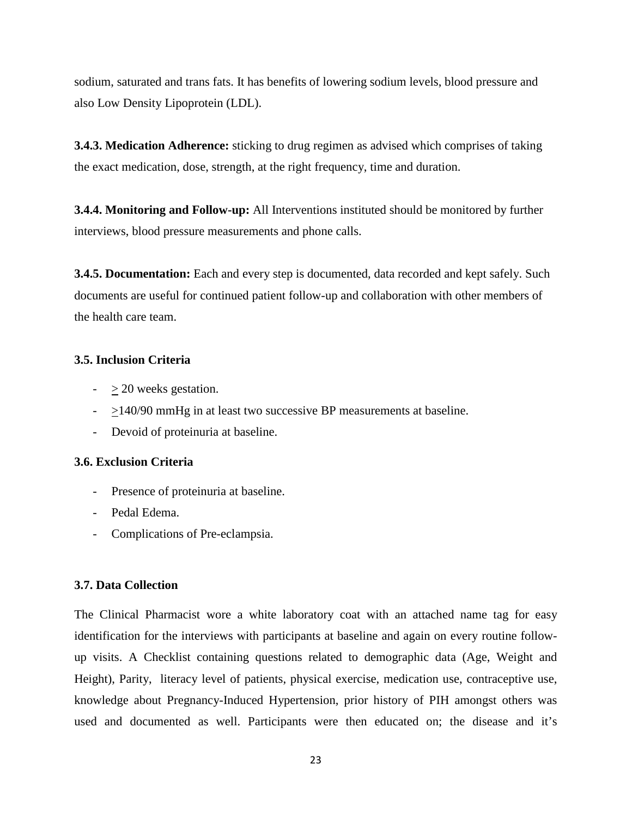sodium, saturated and trans fats. It has benefits of lowering sodium levels, blood pressure and also Low Density Lipoprotein (LDL).

**3.4.3. Medication Adherence:** sticking to drug regimen as advised which comprises of taking the exact medication, dose, strength, at the right frequency, time and duration.

**3.4.4. Monitoring and Follow-up:** All Interventions instituted should be monitored by further interviews, blood pressure measurements and phone calls.

**3.4.5. Documentation:** Each and every step is documented, data recorded and kept safely. Such documents are useful for continued patient follow-up and collaboration with other members of the health care team.

# **3.5. Inclusion Criteria**

- $-$  > 20 weeks gestation.
- $\geq$  140/90 mmHg in at least two successive BP measurements at baseline.
- Devoid of proteinuria at baseline.

# **3.6. Exclusion Criteria**

- Presence of proteinuria at baseline.
- Pedal Edema.
- Complications of Pre-eclampsia.

# **3.7. Data Collection**

The Clinical Pharmacist wore a white laboratory coat with an attached name tag for easy identification for the interviews with participants at baseline and again on every routine followup visits. A Checklist containing questions related to demographic data (Age, Weight and Height), Parity, literacy level of patients, physical exercise, medication use, contraceptive use, knowledge about Pregnancy-Induced Hypertension, prior history of PIH amongst others was used and documented as well. Participants were then educated on; the disease and it's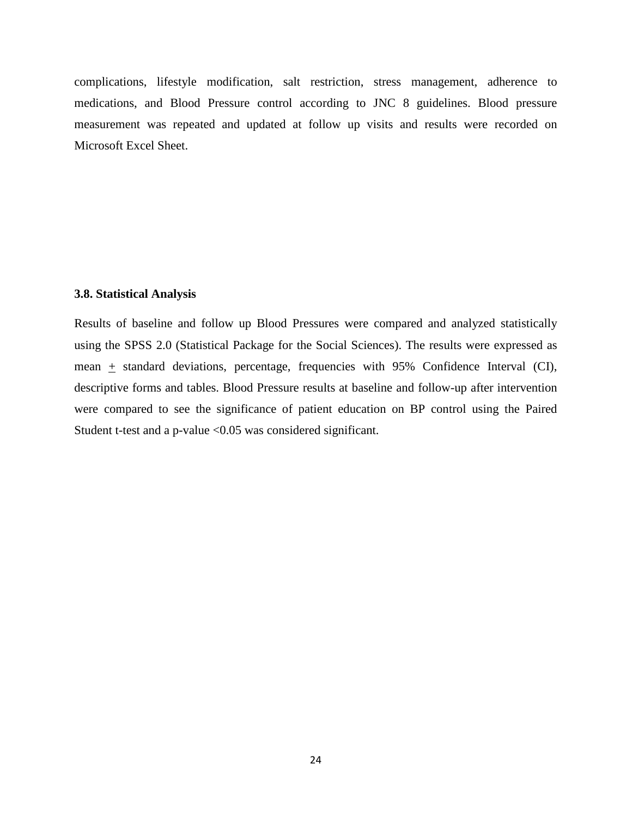complications, lifestyle modification, salt restriction, stress management, adherence to medications, and Blood Pressure control according to JNC 8 guidelines. Blood pressure measurement was repeated and updated at follow up visits and results were recorded on Microsoft Excel Sheet.

#### **3.8. Statistical Analysis**

Results of baseline and follow up Blood Pressures were compared and analyzed statistically using the SPSS 2.0 (Statistical Package for the Social Sciences). The results were expressed as mean  $\pm$  standard deviations, percentage, frequencies with 95% Confidence Interval (CI), descriptive forms and tables. Blood Pressure results at baseline and follow-up after intervention were compared to see the significance of patient education on BP control using the Paired Student t-test and a p-value <0.05 was considered significant.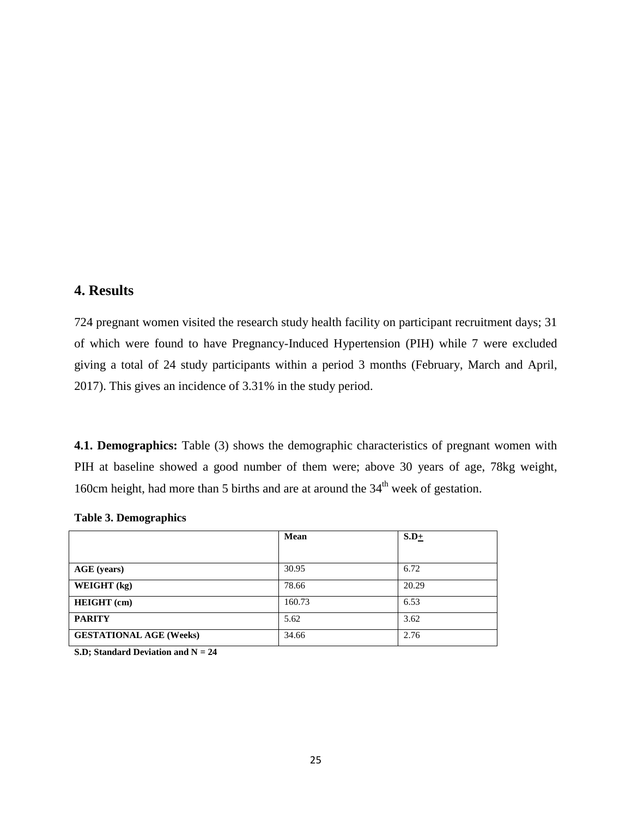# **4. Results**

724 pregnant women visited the research study health facility on participant recruitment days; 31 of which were found to have Pregnancy-Induced Hypertension (PIH) while 7 were excluded giving a total of 24 study participants within a period 3 months (February, March and April, 2017). This gives an incidence of 3.31% in the study period.

**4.1. Demographics:** Table (3) shows the demographic characteristics of pregnant women with PIH at baseline showed a good number of them were; above 30 years of age, 78kg weight, 160cm height, had more than 5 births and are at around the  $34<sup>th</sup>$  week of gestation.

|                                | Mean   | $S.D+$ |
|--------------------------------|--------|--------|
|                                |        |        |
| <b>AGE</b> (years)             | 30.95  | 6.72   |
| WEIGHT (kg)                    | 78.66  | 20.29  |
| <b>HEIGHT</b> (cm)             | 160.73 | 6.53   |
| <b>PARITY</b>                  | 5.62   | 3.62   |
| <b>GESTATIONAL AGE (Weeks)</b> | 34.66  | 2.76   |

|  | <b>Table 3. Demographics</b> |  |
|--|------------------------------|--|
|--|------------------------------|--|

**S.D; Standard Deviation and N = 24**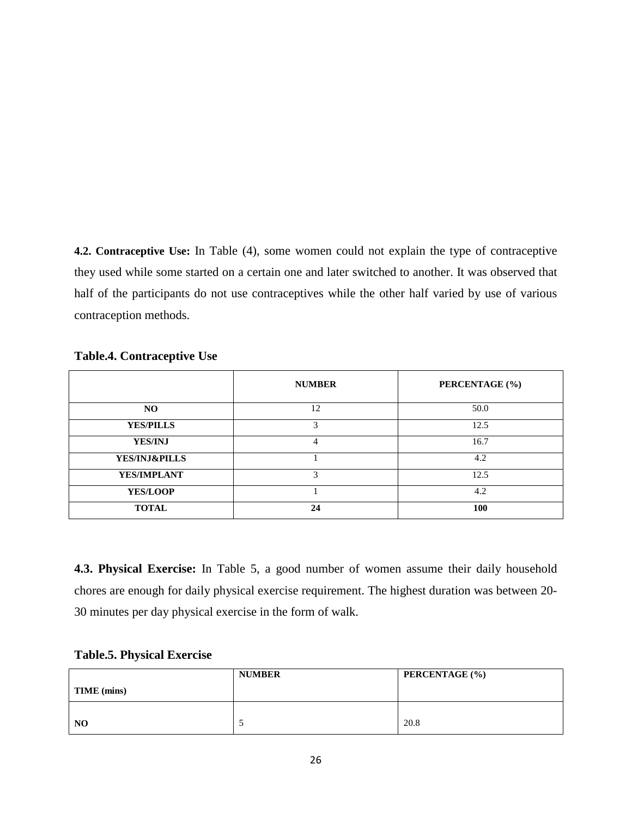**4.2. Contraceptive Use:** In Table (4), some women could not explain the type of contraceptive they used while some started on a certain one and later switched to another. It was observed that half of the participants do not use contraceptives while the other half varied by use of various contraception methods.

|                          | <b>NUMBER</b> | PERCENTAGE (%) |
|--------------------------|---------------|----------------|
| NO.                      | 12            | 50.0           |
| <b>YES/PILLS</b>         | 3             | 12.5           |
| <b>YES/INJ</b>           | 4             | 16.7           |
| <b>YES/INJ&amp;PILLS</b> |               | 4.2            |
| YES/IMPLANT              | 3             | 12.5           |
| <b>YES/LOOP</b>          |               | 4.2            |
| <b>TOTAL</b>             | 24            | 100            |

**4.3. Physical Exercise:** In Table 5, a good number of women assume their daily household chores are enough for daily physical exercise requirement. The highest duration was between 20- 30 minutes per day physical exercise in the form of walk.

| <b>Table.5. Physical Exercise</b> |  |  |
|-----------------------------------|--|--|
|-----------------------------------|--|--|

|                | <b>NUMBER</b> | <b>PERCENTAGE</b> (%) |
|----------------|---------------|-----------------------|
| TIME (mins)    |               |                       |
|                |               |                       |
| N <sub>O</sub> |               | 20.8                  |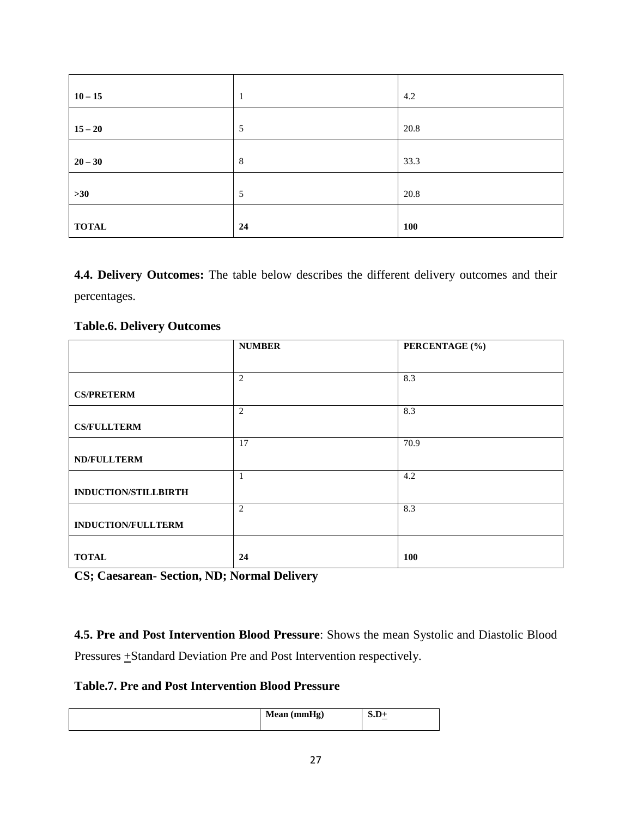| $10 - 15$    |    | 4.2        |
|--------------|----|------------|
| $15 - 20$    | 5  | 20.8       |
| $20 - 30$    | 8  | 33.3       |
| $>30$        | 5  | 20.8       |
| <b>TOTAL</b> | 24 | <b>100</b> |

**4.4. Delivery Outcomes:** The table below describes the different delivery outcomes and their percentages.

# **Table.6. Delivery Outcomes**

|                           | <b>NUMBER</b>  | PERCENTAGE (%) |
|---------------------------|----------------|----------------|
|                           |                |                |
|                           | $\overline{2}$ | 8.3            |
| <b>CS/PRETERM</b>         |                |                |
|                           | $\overline{2}$ | 8.3            |
| <b>CS/FULLTERM</b>        |                |                |
|                           | 17             | 70.9           |
| <b>ND/FULLTERM</b>        |                |                |
|                           |                | 4.2            |
| INDUCTION/STILLBIRTH      |                |                |
|                           | $\overline{2}$ | 8.3            |
| <b>INDUCTION/FULLTERM</b> |                |                |
|                           |                |                |
| <b>TOTAL</b>              | 24             | <b>100</b>     |

**CS; Caesarean- Section, ND; Normal Delivery**

**4.5. Pre and Post Intervention Blood Pressure**: Shows the mean Systolic and Diastolic Blood Pressures  $\pm$ Standard Deviation Pre and Post Intervention respectively.

**Table.7. Pre and Post Intervention Blood Pressure**

| Mean (mmHg) | ນ.ມ<br>စ, |
|-------------|-----------|
|-------------|-----------|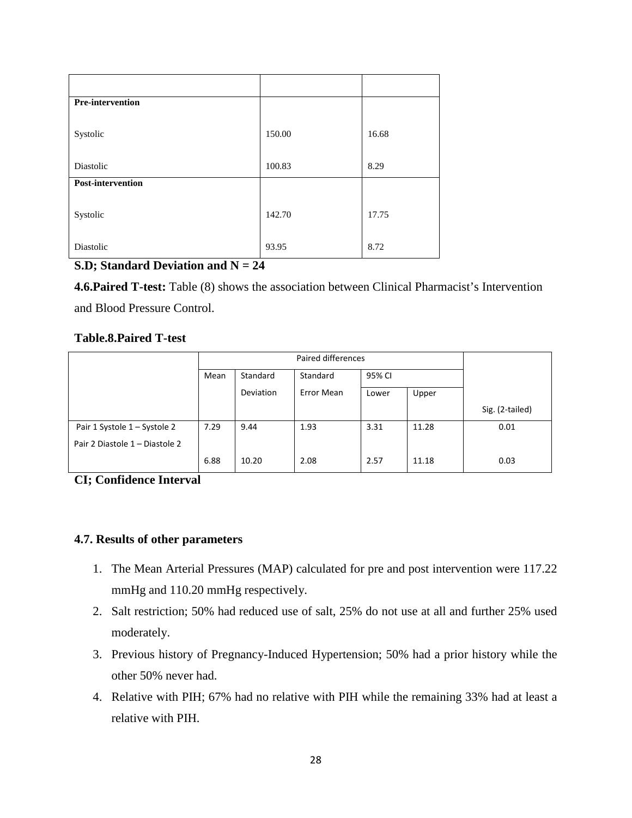| Pre-intervention  |        |       |
|-------------------|--------|-------|
| Systolic          | 150.00 | 16.68 |
| Diastolic         | 100.83 | 8.29  |
| Post-intervention |        |       |
| Systolic          | 142.70 | 17.75 |
| Diastolic         | 93.95  | 8.72  |

# **S.D; Standard Deviation and N = 24**

**4.6.Paired T-test:** Table (8) shows the association between Clinical Pharmacist's Intervention and Blood Pressure Control.

# **Table.8.Paired T-test**

|                                | Paired differences |           |            |        |       |                 |
|--------------------------------|--------------------|-----------|------------|--------|-------|-----------------|
|                                | Mean               | Standard  | Standard   | 95% CI |       |                 |
|                                |                    | Deviation | Error Mean | Lower  | Upper |                 |
|                                |                    |           |            |        |       | Sig. (2-tailed) |
| Pair 1 Systole 1 – Systole 2   | 7.29               | 9.44      | 1.93       | 3.31   | 11.28 | 0.01            |
| Pair 2 Diastole 1 - Diastole 2 |                    |           |            |        |       |                 |
|                                | 6.88               | 10.20     | 2.08       | 2.57   | 11.18 | 0.03            |

**CI; Confidence Interval**

# **4.7. Results of other parameters**

- 1. The Mean Arterial Pressures (MAP) calculated for pre and post intervention were 117.22 mmHg and 110.20 mmHg respectively.
- 2. Salt restriction; 50% had reduced use of salt, 25% do not use at all and further 25% used moderately.
- 3. Previous history of Pregnancy-Induced Hypertension; 50% had a prior history while the other 50% never had.
- 4. Relative with PIH; 67% had no relative with PIH while the remaining 33% had at least a relative with PIH.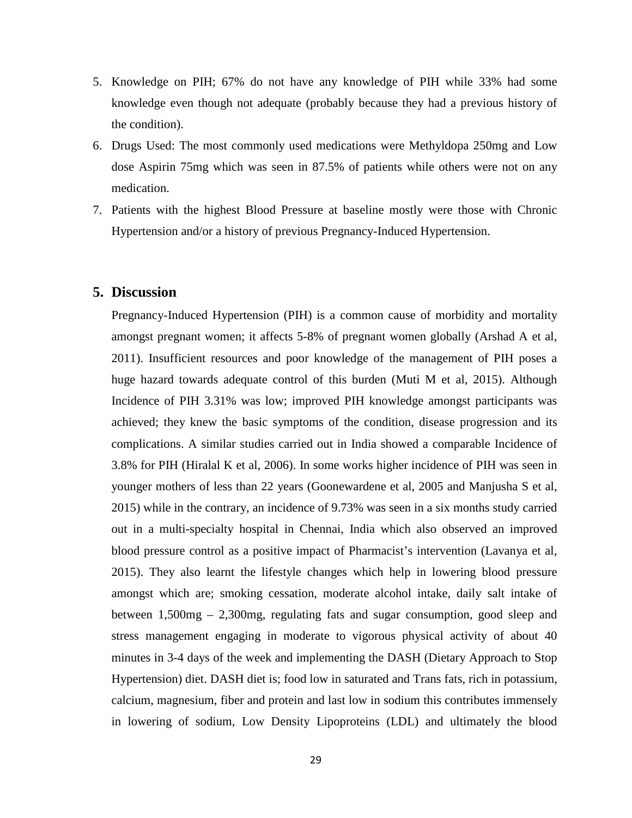- 5. Knowledge on PIH; 67% do not have any knowledge of PIH while 33% had some knowledge even though not adequate (probably because they had a previous history of the condition).
- 6. Drugs Used: The most commonly used medications were Methyldopa 250mg and Low dose Aspirin 75mg which was seen in 87.5% of patients while others were not on any medication.
- 7. Patients with the highest Blood Pressure at baseline mostly were those with Chronic Hypertension and/or a history of previous Pregnancy-Induced Hypertension.

## **5. Discussion**

Pregnancy-Induced Hypertension (PIH) is a common cause of morbidity and mortality amongst pregnant women; it affects 5-8% of pregnant women globally (Arshad A et al, 2011). Insufficient resources and poor knowledge of the management of PIH poses a huge hazard towards adequate control of this burden (Muti M et al, 2015). Although Incidence of PIH 3.31% was low; improved PIH knowledge amongst participants was achieved; they knew the basic symptoms of the condition, disease progression and its complications. A similar studies carried out in India showed a comparable Incidence of 3.8% for PIH (Hiralal K et al, 2006). In some works higher incidence of PIH was seen in younger mothers of less than 22 years (Goonewardene et al, 2005 and Manjusha S et al, 2015) while in the contrary, an incidence of 9.73% was seen in a six months study carried out in a multi-specialty hospital in Chennai, India which also observed an improved blood pressure control as a positive impact of Pharmacist's intervention (Lavanya et al, 2015). They also learnt the lifestyle changes which help in lowering blood pressure amongst which are; smoking cessation, moderate alcohol intake, daily salt intake of between 1,500mg – 2,300mg, regulating fats and sugar consumption, good sleep and stress management engaging in moderate to vigorous physical activity of about 40 minutes in 3-4 days of the week and implementing the DASH (Dietary Approach to Stop Hypertension) diet. DASH diet is; food low in saturated and Trans fats, rich in potassium, calcium, magnesium, fiber and protein and last low in sodium this contributes immensely in lowering of sodium, Low Density Lipoproteins (LDL) and ultimately the blood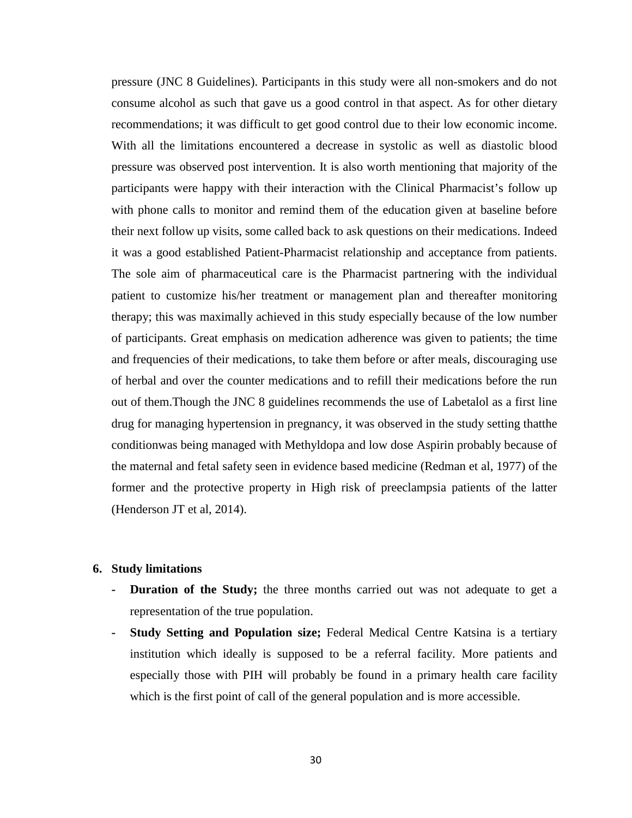pressure (JNC 8 Guidelines). Participants in this study were all non-smokers and do not consume alcohol as such that gave us a good control in that aspect. As for other dietary recommendations; it was difficult to get good control due to their low economic income. With all the limitations encountered a decrease in systolic as well as diastolic blood pressure was observed post intervention. It is also worth mentioning that majority of the participants were happy with their interaction with the Clinical Pharmacist's follow up with phone calls to monitor and remind them of the education given at baseline before their next follow up visits, some called back to ask questions on their medications. Indeed it was a good established Patient-Pharmacist relationship and acceptance from patients. The sole aim of pharmaceutical care is the Pharmacist partnering with the individual patient to customize his/her treatment or management plan and thereafter monitoring therapy; this was maximally achieved in this study especially because of the low number of participants. Great emphasis on medication adherence was given to patients; the time and frequencies of their medications, to take them before or after meals, discouraging use of herbal and over the counter medications and to refill their medications before the run out of them.Though the JNC 8 guidelines recommends the use of Labetalol as a first line drug for managing hypertension in pregnancy, it was observed in the study setting thatthe conditionwas being managed with Methyldopa and low dose Aspirin probably because of the maternal and fetal safety seen in evidence based medicine (Redman et al, 1977) of the former and the protective property in High risk of preeclampsia patients of the latter (Henderson JT et al, 2014).

## **6. Study limitations**

- **- Duration of the Study;** the three months carried out was not adequate to get a representation of the true population.
- **- Study Setting and Population size;** Federal Medical Centre Katsina is a tertiary institution which ideally is supposed to be a referral facility. More patients and especially those with PIH will probably be found in a primary health care facility which is the first point of call of the general population and is more accessible.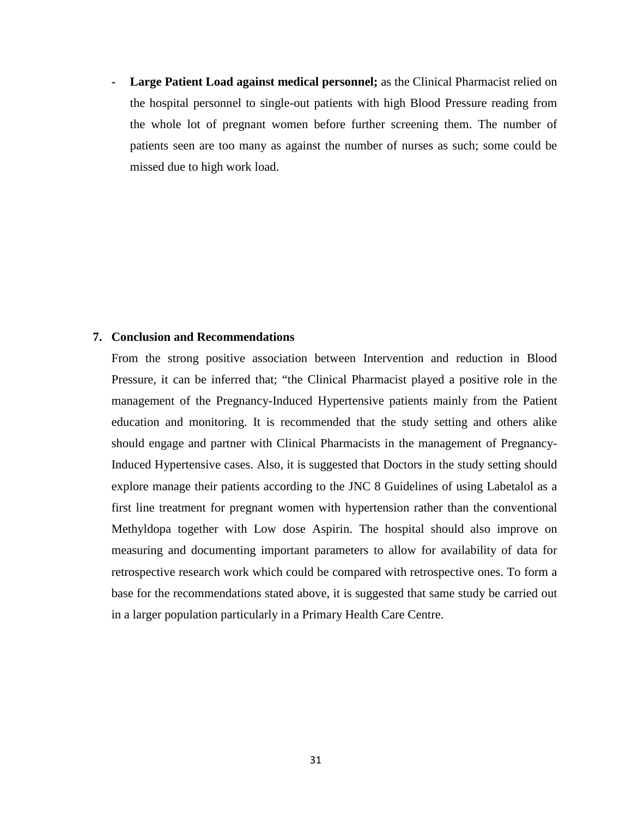**- Large Patient Load against medical personnel;** as the Clinical Pharmacist relied on the hospital personnel to single-out patients with high Blood Pressure reading from the whole lot of pregnant women before further screening them. The number of patients seen are too many as against the number of nurses as such; some could be missed due to high work load.

# **7. Conclusion and Recommendations**

From the strong positive association between Intervention and reduction in Blood Pressure, it can be inferred that; "the Clinical Pharmacist played a positive role in the management of the Pregnancy-Induced Hypertensive patients mainly from the Patient education and monitoring. It is recommended that the study setting and others alike should engage and partner with Clinical Pharmacists in the management of Pregnancy-Induced Hypertensive cases. Also, it is suggested that Doctors in the study setting should explore manage their patients according to the JNC 8 Guidelines of using Labetalol as a first line treatment for pregnant women with hypertension rather than the conventional Methyldopa together with Low dose Aspirin. The hospital should also improve on measuring and documenting important parameters to allow for availability of data for retrospective research work which could be compared with retrospective ones. To form a base for the recommendations stated above, it is suggested that same study be carried out in a larger population particularly in a Primary Health Care Centre.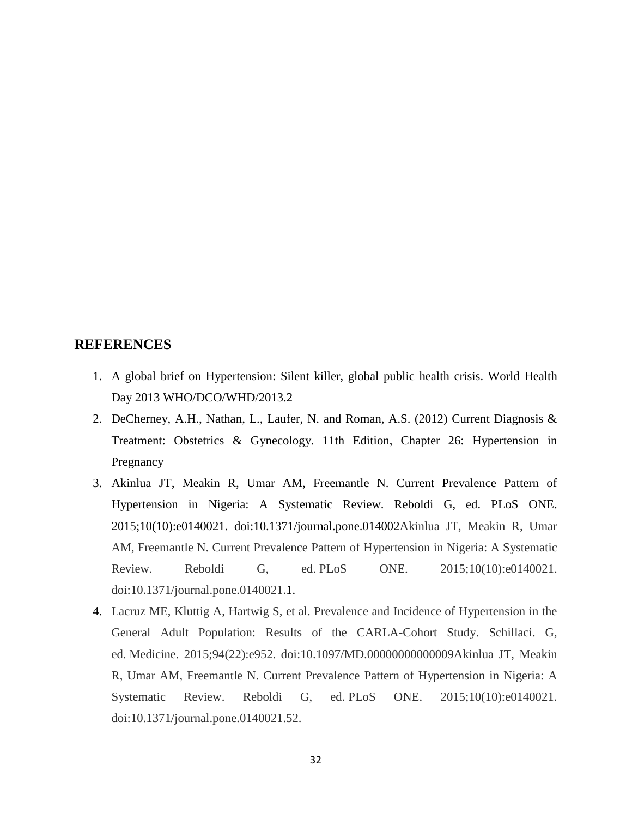# **REFERENCES**

- 1. A global brief on Hypertension: Silent killer, global public health crisis. World Health Day 2013 WHO/DCO/WHD/2013.2
- 2. DeCherney, A.H., Nathan, L., Laufer, N. and Roman, A.S. (2012) Current Diagnosis & Treatment: Obstetrics & Gynecology. 11th Edition, Chapter 26: Hypertension in Pregnancy
- 3. Akinlua JT, Meakin R, Umar AM, Freemantle N. Current Prevalence Pattern of Hypertension in Nigeria: A Systematic Review. Reboldi G, ed. PLoS ONE. 2015;10(10):e0140021. doi:10.1371/journal.pone.014002Akinlua JT, Meakin R, Umar AM, Freemantle N. Current Prevalence Pattern of Hypertension in Nigeria: A Systematic Review. Reboldi G, ed. PLoS ONE. 2015;10(10):e0140021. doi:10.1371/journal.pone.0140021.1.
- 4. Lacruz ME, Kluttig A, Hartwig S, et al. Prevalence and Incidence of Hypertension in the General Adult Population: Results of the CARLA-Cohort Study. Schillaci. G, ed. Medicine. 2015;94(22):e952. doi:10.1097/MD.00000000000009Akinlua JT, Meakin R, Umar AM, Freemantle N. Current Prevalence Pattern of Hypertension in Nigeria: A Systematic Review. Reboldi G, ed. PLoS ONE. 2015;10(10):e0140021. doi:10.1371/journal.pone.0140021.52.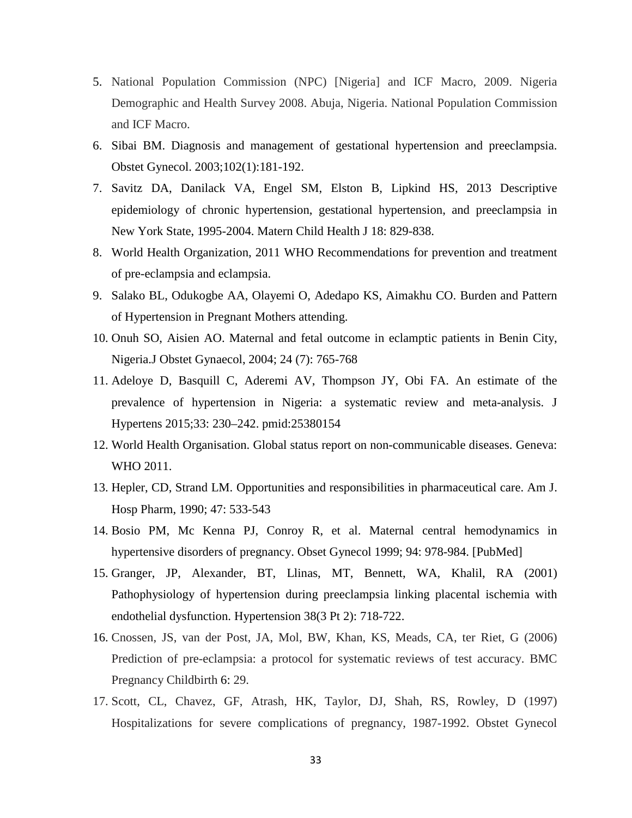- 5. National Population Commission (NPC) [Nigeria] and ICF Macro, 2009. Nigeria Demographic and Health Survey 2008. Abuja, Nigeria. National Population Commission and ICF Macro.
- 6. Sibai BM. Diagnosis and management of gestational hypertension and preeclampsia. Obstet Gynecol. 2003;102(1):181-192.
- 7. Savitz DA, Danilack VA, Engel SM, Elston B, Lipkind HS, 2013 Descriptive epidemiology of chronic hypertension, gestational hypertension, and preeclampsia in New York State, 1995-2004. Matern Child Health J 18: 829-838.
- 8. World Health Organization, 2011 WHO Recommendations for prevention and treatment of pre-eclampsia and eclampsia.
- 9. Salako BL, Odukogbe AA, Olayemi O, Adedapo KS, Aimakhu CO. Burden and Pattern of Hypertension in Pregnant Mothers attending.
- 10. Onuh SO, Aisien AO. Maternal and fetal outcome in eclamptic patients in Benin City, Nigeria.J Obstet Gynaecol, 2004; 24 (7): 765-768
- 11. Adeloye D, Basquill C, Aderemi AV, Thompson JY, Obi FA. An estimate of the prevalence of hypertension in Nigeria: a systematic review and meta-analysis. J Hypertens 2015;33: 230–242. pmid:25380154
- 12. World Health Organisation. Global status report on non-communicable diseases. Geneva: WHO 2011.
- 13. Hepler, CD, Strand LM. Opportunities and responsibilities in pharmaceutical care. Am J. Hosp Pharm, 1990; 47: 533-543
- 14. Bosio PM, Mc Kenna PJ, Conroy R, et al. Maternal central hemodynamics in hypertensive disorders of pregnancy. Obset Gynecol 1999; 94: 978-984. [PubMed]
- 15. Granger, JP, Alexander, BT, Llinas, MT, Bennett, WA, Khalil, RA (2001) Pathophysiology of hypertension during preeclampsia linking placental ischemia with endothelial dysfunction. Hypertension 38(3 Pt 2): 718-722.
- 16. Cnossen, JS, van der Post, JA, Mol, BW, Khan, KS, Meads, CA, ter Riet, G (2006) Prediction of pre-eclampsia: a protocol for systematic reviews of test accuracy. BMC Pregnancy Childbirth 6: 29.
- 17. Scott, CL, Chavez, GF, Atrash, HK, Taylor, DJ, Shah, RS, Rowley, D (1997) Hospitalizations for severe complications of pregnancy, 1987-1992. Obstet Gynecol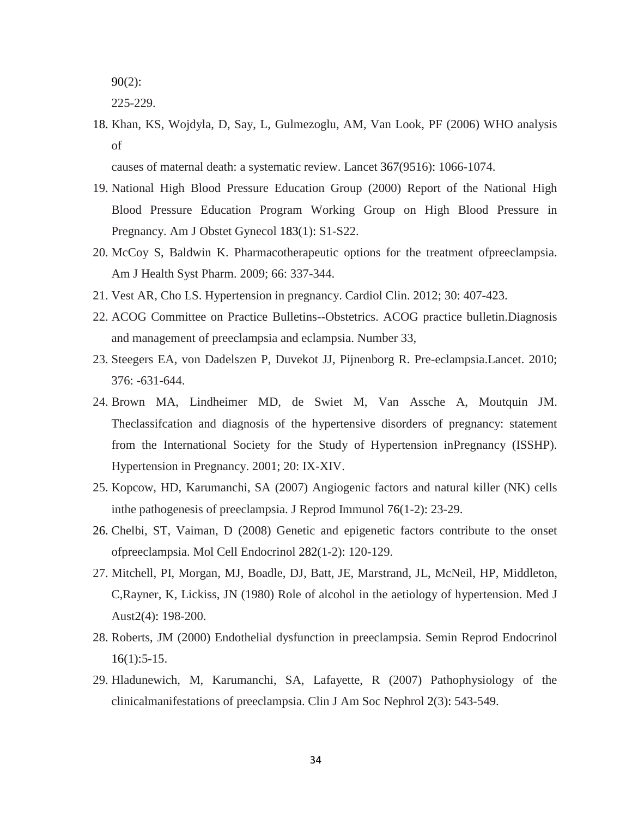90(2):

225-229.

18. Khan, KS, Wojdyla, D, Say, L, Gulmezoglu, AM, Van Look, PF (2006) WHO analysis of

causes of maternal death: a systematic review. Lancet 367(9516): 1066-1074.

- 19. National High Blood Pressure Education Group (2000) Report of the National High Blood Pressure Education Program Working Group on High Blood Pressure in Pregnancy. Am J Obstet Gynecol 183(1): S1-S22.
- 20. McCoy S, Baldwin K. Pharmacotherapeutic options for the treatment ofpreeclampsia. Am J Health Syst Pharm. 2009; 66: 337-344.
- 21. Vest AR, Cho LS. Hypertension in pregnancy. Cardiol Clin. 2012; 30: 407-423.
- 22. ACOG Committee on Practice Bulletins--Obstetrics. ACOG practice bulletin.Diagnosis and management of preeclampsia and eclampsia. Number 33,
- 23. Steegers EA, von Dadelszen P, Duvekot JJ, Pijnenborg R. Pre-eclampsia.Lancet. 2010; 376: -631-644.
- 24. Brown MA, Lindheimer MD, de Swiet M, Van Assche A, Moutquin JM. Theclassifcation and diagnosis of the hypertensive disorders of pregnancy: statement from the International Society for the Study of Hypertension inPregnancy (ISSHP). Hypertension in Pregnancy. 2001; 20: IX-XIV.
- 25. Kopcow, HD, Karumanchi, SA (2007) Angiogenic factors and natural killer (NK) cells inthe pathogenesis of preeclampsia. J Reprod Immunol 76(1-2): 23-29.
- 26. Chelbi, ST, Vaiman, D (2008) Genetic and epigenetic factors contribute to the onset ofpreeclampsia. Mol Cell Endocrinol 282(1-2): 120-129.
- 27. Mitchell, PI, Morgan, MJ, Boadle, DJ, Batt, JE, Marstrand, JL, McNeil, HP, Middleton, C,Rayner, K, Lickiss, JN (1980) Role of alcohol in the aetiology of hypertension. Med J Aust2(4): 198-200.
- 28. Roberts, JM (2000) Endothelial dysfunction in preeclampsia. Semin Reprod Endocrinol 16(1):5-15.
- 29. Hladunewich, M, Karumanchi, SA, Lafayette, R (2007) Pathophysiology of the clinicalmanifestations of preeclampsia. Clin J Am Soc Nephrol 2(3): 543-549.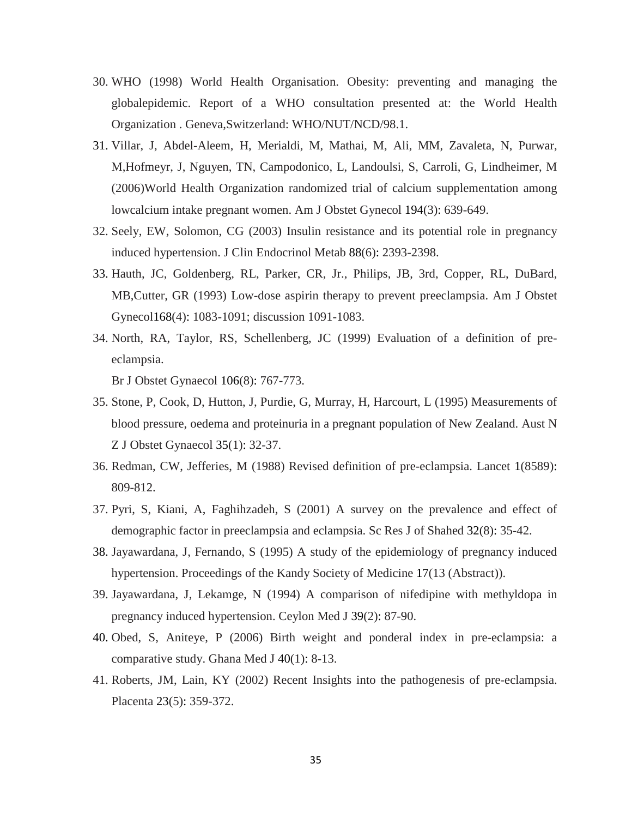- 30. WHO (1998) World Health Organisation. Obesity: preventing and managing the globalepidemic. Report of a WHO consultation presented at: the World Health Organization . Geneva,Switzerland: WHO/NUT/NCD/98.1.
- 31. Villar, J, Abdel-Aleem, H, Merialdi, M, Mathai, M, Ali, MM, Zavaleta, N, Purwar, M,Hofmeyr, J, Nguyen, TN, Campodonico, L, Landoulsi, S, Carroli, G, Lindheimer, M (2006)World Health Organization randomized trial of calcium supplementation among lowcalcium intake pregnant women. Am J Obstet Gynecol 194(3): 639-649.
- 32. Seely, EW, Solomon, CG (2003) Insulin resistance and its potential role in pregnancy induced hypertension. J Clin Endocrinol Metab 88(6): 2393-2398.
- 33. Hauth, JC, Goldenberg, RL, Parker, CR, Jr., Philips, JB, 3rd, Copper, RL, DuBard, MB,Cutter, GR (1993) Low-dose aspirin therapy to prevent preeclampsia. Am J Obstet Gynecol168(4): 1083-1091; discussion 1091-1083.
- 34. North, RA, Taylor, RS, Schellenberg, JC (1999) Evaluation of a definition of preeclampsia.

Br J Obstet Gynaecol 106(8): 767-773.

- 35. Stone, P, Cook, D, Hutton, J, Purdie, G, Murray, H, Harcourt, L (1995) Measurements of blood pressure, oedema and proteinuria in a pregnant population of New Zealand. Aust N Z J Obstet Gynaecol 35(1): 32-37.
- 36. Redman, CW, Jefferies, M (1988) Revised definition of pre-eclampsia. Lancet 1(8589): 809-812.
- 37. Pyri, S, Kiani, A, Faghihzadeh, S (2001) A survey on the prevalence and effect of demographic factor in preeclampsia and eclampsia. Sc Res J of Shahed 32(8): 35-42.
- 38. Jayawardana, J, Fernando, S (1995) A study of the epidemiology of pregnancy induced hypertension. Proceedings of the Kandy Society of Medicine 17(13 (Abstract)).
- 39. Jayawardana, J, Lekamge, N (1994) A comparison of nifedipine with methyldopa in pregnancy induced hypertension. Ceylon Med J 39(2): 87-90.
- 40. Obed, S, Aniteye, P (2006) Birth weight and ponderal index in pre-eclampsia: a comparative study. Ghana Med J 40(1): 8-13.
- 41. Roberts, JM, Lain, KY (2002) Recent Insights into the pathogenesis of pre-eclampsia. Placenta 23(5): 359-372.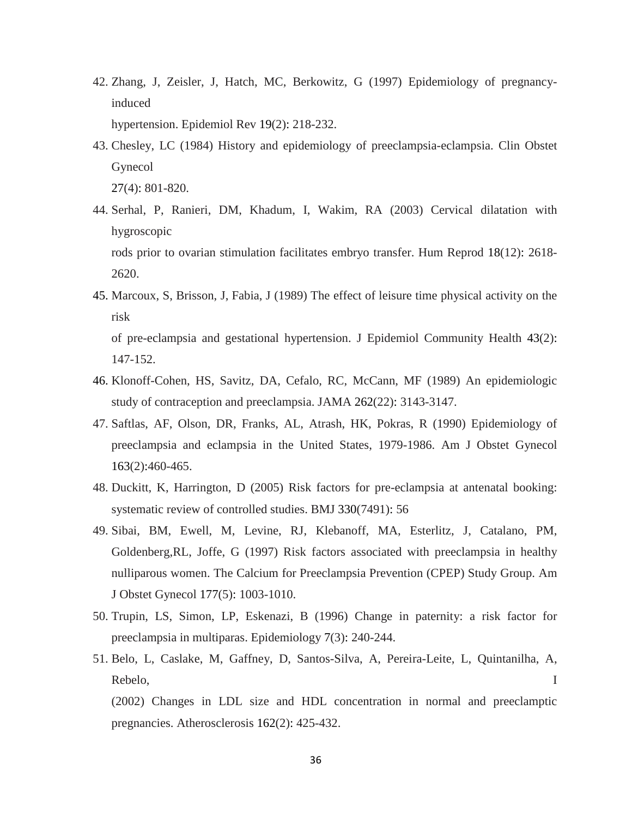42. Zhang, J, Zeisler, J, Hatch, MC, Berkowitz, G (1997) Epidemiology of pregnancyinduced

hypertension. Epidemiol Rev 19(2): 218-232.

- 43. Chesley, LC (1984) History and epidemiology of preeclampsia-eclampsia. Clin Obstet Gynecol 27(4): 801-820.
- 44. Serhal, P, Ranieri, DM, Khadum, I, Wakim, RA (2003) Cervical dilatation with hygroscopic rods prior to ovarian stimulation facilitates embryo transfer. Hum Reprod 18(12): 2618- 2620.
- 45. Marcoux, S, Brisson, J, Fabia, J (1989) The effect of leisure time physical activity on the risk

of pre-eclampsia and gestational hypertension. J Epidemiol Community Health 43(2): 147-152.

- 46. Klonoff-Cohen, HS, Savitz, DA, Cefalo, RC, McCann, MF (1989) An epidemiologic study of contraception and preeclampsia. JAMA 262(22): 3143-3147.
- 47. Saftlas, AF, Olson, DR, Franks, AL, Atrash, HK, Pokras, R (1990) Epidemiology of preeclampsia and eclampsia in the United States, 1979-1986. Am J Obstet Gynecol 163(2):460-465.
- 48. Duckitt, K, Harrington, D (2005) Risk factors for pre-eclampsia at antenatal booking: systematic review of controlled studies. BMJ 330(7491): 56
- 49. Sibai, BM, Ewell, M, Levine, RJ, Klebanoff, MA, Esterlitz, J, Catalano, PM, Goldenberg,RL, Joffe, G (1997) Risk factors associated with preeclampsia in healthy nulliparous women. The Calcium for Preeclampsia Prevention (CPEP) Study Group. Am J Obstet Gynecol 177(5): 1003-1010.
- 50. Trupin, LS, Simon, LP, Eskenazi, B (1996) Change in paternity: a risk factor for preeclampsia in multiparas. Epidemiology 7(3): 240-244.
- 51. Belo, L, Caslake, M, Gaffney, D, Santos-Silva, A, Pereira-Leite, L, Quintanilha, A, Rebelo, I

(2002) Changes in LDL size and HDL concentration in normal and preeclamptic pregnancies. Atherosclerosis 162(2): 425-432.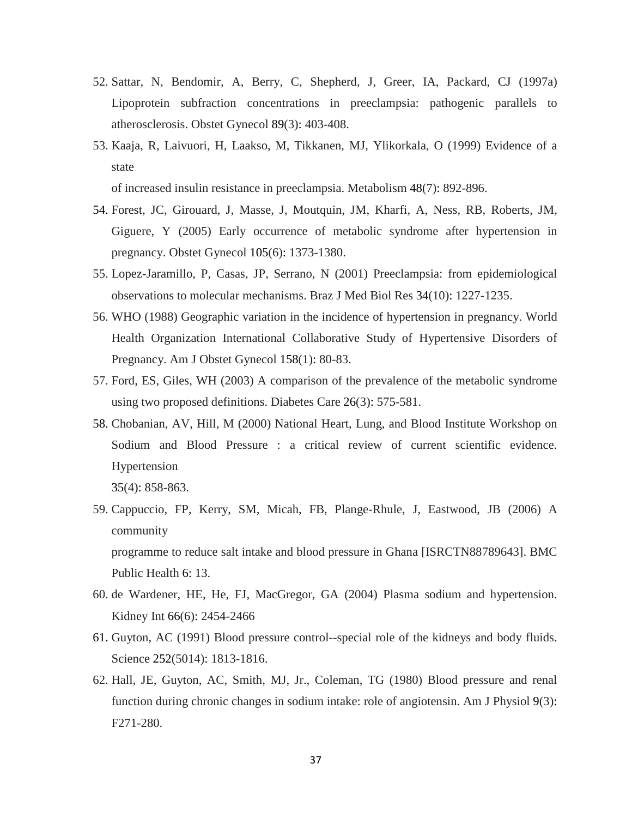- 52. Sattar, N, Bendomir, A, Berry, C, Shepherd, J, Greer, IA, Packard, CJ (1997a) Lipoprotein subfraction concentrations in preeclampsia: pathogenic parallels to atherosclerosis. Obstet Gynecol 89(3): 403-408.
- 53. Kaaja, R, Laivuori, H, Laakso, M, Tikkanen, MJ, Ylikorkala, O (1999) Evidence of a state

of increased insulin resistance in preeclampsia. Metabolism 48(7): 892-896.

- 54. Forest, JC, Girouard, J, Masse, J, Moutquin, JM, Kharfi, A, Ness, RB, Roberts, JM, Giguere, Y (2005) Early occurrence of metabolic syndrome after hypertension in pregnancy. Obstet Gynecol 105(6): 1373-1380.
- 55. Lopez-Jaramillo, P, Casas, JP, Serrano, N (2001) Preeclampsia: from epidemiological observations to molecular mechanisms. Braz J Med Biol Res 34(10): 1227-1235.
- 56. WHO (1988) Geographic variation in the incidence of hypertension in pregnancy. World Health Organization International Collaborative Study of Hypertensive Disorders of Pregnancy. Am J Obstet Gynecol 158(1): 80-83.
- 57. Ford, ES, Giles, WH (2003) A comparison of the prevalence of the metabolic syndrome using two proposed definitions. Diabetes Care 26(3): 575-581.
- 58. Chobanian, AV, Hill, M (2000) National Heart, Lung, and Blood Institute Workshop on Sodium and Blood Pressure : a critical review of current scientific evidence. Hypertension

35(4): 858-863.

59. Cappuccio, FP, Kerry, SM, Micah, FB, Plange-Rhule, J, Eastwood, JB (2006) A community

programme to reduce salt intake and blood pressure in Ghana [ISRCTN88789643]. BMC Public Health 6: 13.

- 60. de Wardener, HE, He, FJ, MacGregor, GA (2004) Plasma sodium and hypertension. Kidney Int 66(6): 2454-2466
- 61. Guyton, AC (1991) Blood pressure control--special role of the kidneys and body fluids. Science 252(5014): 1813-1816.
- 62. Hall, JE, Guyton, AC, Smith, MJ, Jr., Coleman, TG (1980) Blood pressure and renal function during chronic changes in sodium intake: role of angiotensin. Am J Physiol 9(3): F271-280.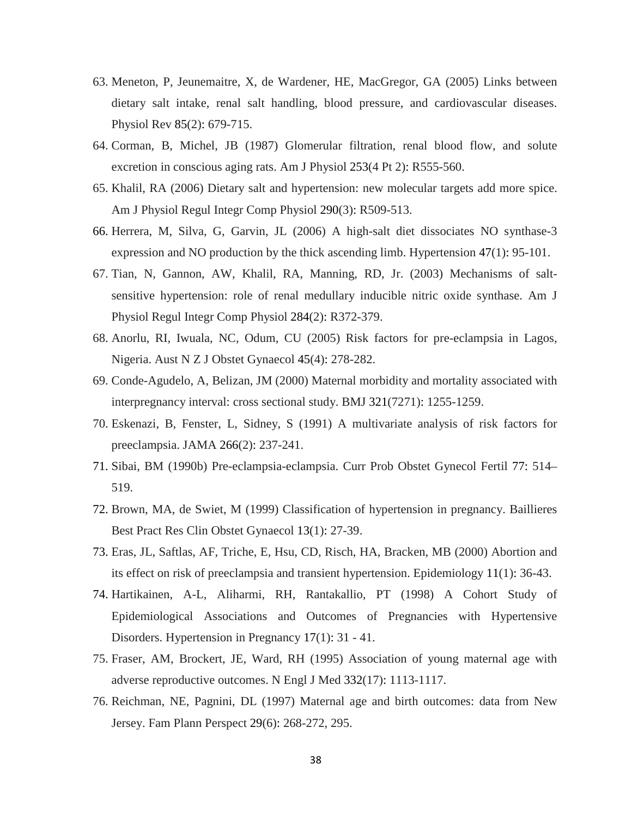- 63. Meneton, P, Jeunemaitre, X, de Wardener, HE, MacGregor, GA (2005) Links between dietary salt intake, renal salt handling, blood pressure, and cardiovascular diseases. Physiol Rev 85(2): 679-715.
- 64. Corman, B, Michel, JB (1987) Glomerular filtration, renal blood flow, and solute excretion in conscious aging rats. Am J Physiol 253(4 Pt 2): R555-560.
- 65. Khalil, RA (2006) Dietary salt and hypertension: new molecular targets add more spice. Am J Physiol Regul Integr Comp Physiol 290(3): R509-513.
- 66. Herrera, M, Silva, G, Garvin, JL (2006) A high-salt diet dissociates NO synthase-3 expression and NO production by the thick ascending limb. Hypertension 47(1): 95-101.
- 67. Tian, N, Gannon, AW, Khalil, RA, Manning, RD, Jr. (2003) Mechanisms of saltsensitive hypertension: role of renal medullary inducible nitric oxide synthase. Am J Physiol Regul Integr Comp Physiol 284(2): R372-379.
- 68. Anorlu, RI, Iwuala, NC, Odum, CU (2005) Risk factors for pre-eclampsia in Lagos, Nigeria. Aust N Z J Obstet Gynaecol 45(4): 278-282.
- 69. Conde-Agudelo, A, Belizan, JM (2000) Maternal morbidity and mortality associated with interpregnancy interval: cross sectional study. BMJ 321(7271): 1255-1259.
- 70. Eskenazi, B, Fenster, L, Sidney, S (1991) A multivariate analysis of risk factors for preeclampsia. JAMA 266(2): 237-241.
- 71. Sibai, BM (1990b) Pre-eclampsia-eclampsia. Curr Prob Obstet Gynecol Fertil 77: 514– 519.
- 72. Brown, MA, de Swiet, M (1999) Classification of hypertension in pregnancy. Baillieres Best Pract Res Clin Obstet Gynaecol 13(1): 27-39.
- 73. Eras, JL, Saftlas, AF, Triche, E, Hsu, CD, Risch, HA, Bracken, MB (2000) Abortion and its effect on risk of preeclampsia and transient hypertension. Epidemiology 11(1): 36-43.
- 74. Hartikainen, A-L, Aliharmi, RH, Rantakallio, PT (1998) A Cohort Study of Epidemiological Associations and Outcomes of Pregnancies with Hypertensive Disorders. Hypertension in Pregnancy 17(1): 31 - 41.
- 75. Fraser, AM, Brockert, JE, Ward, RH (1995) Association of young maternal age with adverse reproductive outcomes. N Engl J Med 332(17): 1113-1117.
- 76. Reichman, NE, Pagnini, DL (1997) Maternal age and birth outcomes: data from New Jersey. Fam Plann Perspect 29(6): 268-272, 295.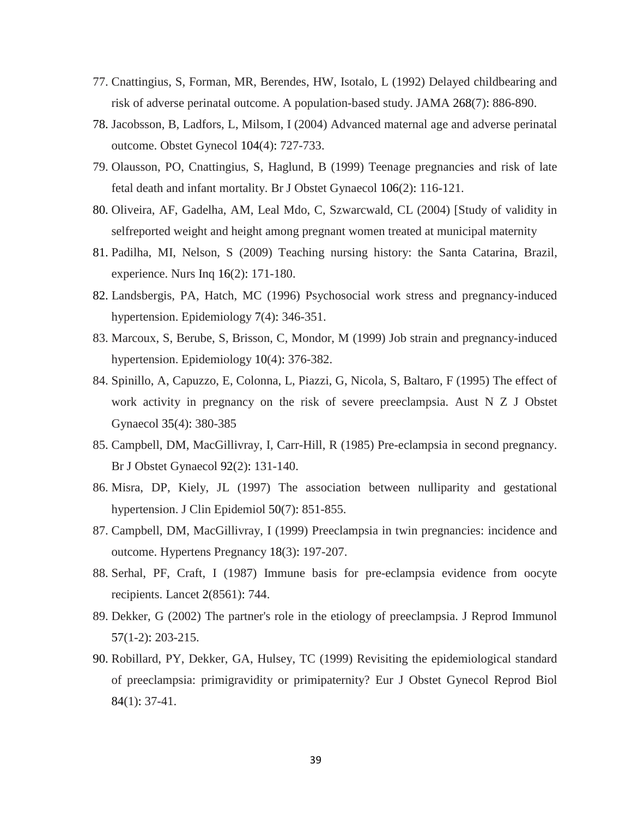- 77. Cnattingius, S, Forman, MR, Berendes, HW, Isotalo, L (1992) Delayed childbearing and risk of adverse perinatal outcome. A population-based study. JAMA 268(7): 886-890.
- 78. Jacobsson, B, Ladfors, L, Milsom, I (2004) Advanced maternal age and adverse perinatal outcome. Obstet Gynecol 104(4): 727-733.
- 79. Olausson, PO, Cnattingius, S, Haglund, B (1999) Teenage pregnancies and risk of late fetal death and infant mortality. Br J Obstet Gynaecol 106(2): 116-121.
- 80. Oliveira, AF, Gadelha, AM, Leal Mdo, C, Szwarcwald, CL (2004) [Study of validity in selfreported weight and height among pregnant women treated at municipal maternity
- 81. Padilha, MI, Nelson, S (2009) Teaching nursing history: the Santa Catarina, Brazil, experience. Nurs Inq 16(2): 171-180.
- 82. Landsbergis, PA, Hatch, MC (1996) Psychosocial work stress and pregnancy-induced hypertension. Epidemiology 7(4): 346-351.
- 83. Marcoux, S, Berube, S, Brisson, C, Mondor, M (1999) Job strain and pregnancy-induced hypertension. Epidemiology 10(4): 376-382.
- 84. Spinillo, A, Capuzzo, E, Colonna, L, Piazzi, G, Nicola, S, Baltaro, F (1995) The effect of work activity in pregnancy on the risk of severe preeclampsia. Aust N Z J Obstet Gynaecol 35(4): 380-385
- 85. Campbell, DM, MacGillivray, I, Carr-Hill, R (1985) Pre-eclampsia in second pregnancy. Br J Obstet Gynaecol 92(2): 131-140.
- 86. Misra, DP, Kiely, JL (1997) The association between nulliparity and gestational hypertension. J Clin Epidemiol 50(7): 851-855.
- 87. Campbell, DM, MacGillivray, I (1999) Preeclampsia in twin pregnancies: incidence and outcome. Hypertens Pregnancy 18(3): 197-207.
- 88. Serhal, PF, Craft, I (1987) Immune basis for pre-eclampsia evidence from oocyte recipients. Lancet 2(8561): 744.
- 89. Dekker, G (2002) The partner's role in the etiology of preeclampsia. J Reprod Immunol 57(1-2): 203-215.
- 90. Robillard, PY, Dekker, GA, Hulsey, TC (1999) Revisiting the epidemiological standard of preeclampsia: primigravidity or primipaternity? Eur J Obstet Gynecol Reprod Biol 84(1): 37-41.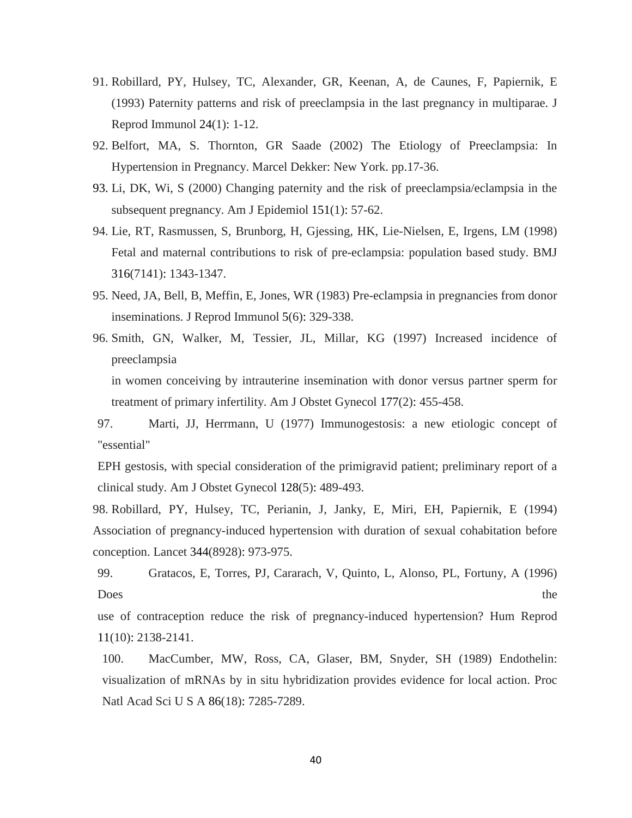- 91. Robillard, PY, Hulsey, TC, Alexander, GR, Keenan, A, de Caunes, F, Papiernik, E (1993) Paternity patterns and risk of preeclampsia in the last pregnancy in multiparae. J Reprod Immunol 24(1): 1-12.
- 92. Belfort, MA, S. Thornton, GR Saade (2002) The Etiology of Preeclampsia: In Hypertension in Pregnancy. Marcel Dekker: New York. pp.17-36.
- 93. Li, DK, Wi, S (2000) Changing paternity and the risk of preeclampsia/eclampsia in the subsequent pregnancy. Am J Epidemiol 151(1): 57-62.
- 94. Lie, RT, Rasmussen, S, Brunborg, H, Gjessing, HK, Lie-Nielsen, E, Irgens, LM (1998) Fetal and maternal contributions to risk of pre-eclampsia: population based study. BMJ 316(7141): 1343-1347.
- 95. Need, JA, Bell, B, Meffin, E, Jones, WR (1983) Pre-eclampsia in pregnancies from donor inseminations. J Reprod Immunol 5(6): 329-338.
- 96. Smith, GN, Walker, M, Tessier, JL, Millar, KG (1997) Increased incidence of preeclampsia in women conceiving by intrauterine insemination with donor versus partner sperm for

treatment of primary infertility. Am J Obstet Gynecol 177(2): 455-458.

97. Marti, JJ, Herrmann, U (1977) Immunogestosis: a new etiologic concept of "essential"

EPH gestosis, with special consideration of the primigravid patient; preliminary report of a clinical study. Am J Obstet Gynecol 128(5): 489-493.

98. Robillard, PY, Hulsey, TC, Perianin, J, Janky, E, Miri, EH, Papiernik, E (1994) Association of pregnancy-induced hypertension with duration of sexual cohabitation before conception. Lancet 344(8928): 973-975.

99. Gratacos, E, Torres, PJ, Cararach, V, Quinto, L, Alonso, PL, Fortuny, A (1996) Does the state of the state of the state of the state of the state of the state of the state of the state of the state of the state of the state of the state of the state of the state of the state of the state of the state

use of contraception reduce the risk of pregnancy-induced hypertension? Hum Reprod 11(10): 2138-2141.

100. MacCumber, MW, Ross, CA, Glaser, BM, Snyder, SH (1989) Endothelin: visualization of mRNAs by in situ hybridization provides evidence for local action. Proc Natl Acad Sci U S A 86(18): 7285-7289.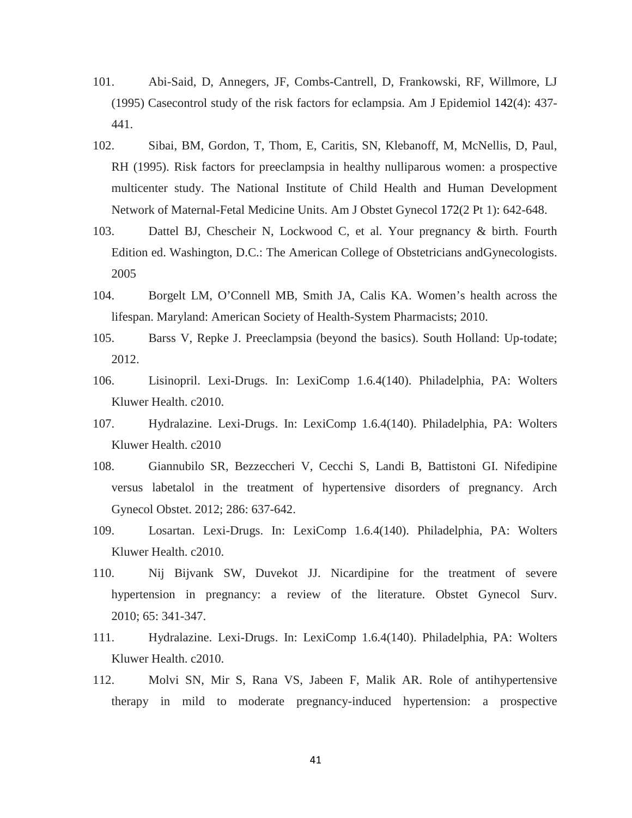- 101. Abi-Said, D, Annegers, JF, Combs-Cantrell, D, Frankowski, RF, Willmore, LJ (1995) Casecontrol study of the risk factors for eclampsia. Am J Epidemiol 142(4): 437- 441.
- 102. Sibai, BM, Gordon, T, Thom, E, Caritis, SN, Klebanoff, M, McNellis, D, Paul, RH (1995). Risk factors for preeclampsia in healthy nulliparous women: a prospective multicenter study. The National Institute of Child Health and Human Development Network of Maternal-Fetal Medicine Units. Am J Obstet Gynecol 172(2 Pt 1): 642-648.
- 103. Dattel BJ, Chescheir N, Lockwood C, et al. Your pregnancy & birth. Fourth Edition ed. Washington, D.C.: The American College of Obstetricians andGynecologists. 2005
- 104. Borgelt LM, O'Connell MB, Smith JA, Calis KA. Women's health across the lifespan. Maryland: American Society of Health-System Pharmacists; 2010.
- 105. Barss V, Repke J. Preeclampsia (beyond the basics). South Holland: Up-todate; 2012.
- 106. Lisinopril. Lexi-Drugs. In: LexiComp 1.6.4(140). Philadelphia, PA: Wolters Kluwer Health. c2010.
- 107. Hydralazine. Lexi-Drugs. In: LexiComp 1.6.4(140). Philadelphia, PA: Wolters Kluwer Health. c2010
- 108. Giannubilo SR, Bezzeccheri V, Cecchi S, Landi B, Battistoni GI. Nifedipine versus labetalol in the treatment of hypertensive disorders of pregnancy. Arch Gynecol Obstet. 2012; 286: 637-642.
- 109. Losartan. Lexi-Drugs. In: LexiComp 1.6.4(140). Philadelphia, PA: Wolters Kluwer Health. c2010.
- 110. Nij Bijvank SW, Duvekot JJ. Nicardipine for the treatment of severe hypertension in pregnancy: a review of the literature. Obstet Gynecol Surv. 2010; 65: 341-347.
- 111. Hydralazine. Lexi-Drugs. In: LexiComp 1.6.4(140). Philadelphia, PA: Wolters Kluwer Health. c2010.
- 112. Molvi SN, Mir S, Rana VS, Jabeen F, Malik AR. Role of antihypertensive therapy in mild to moderate pregnancy-induced hypertension: a prospective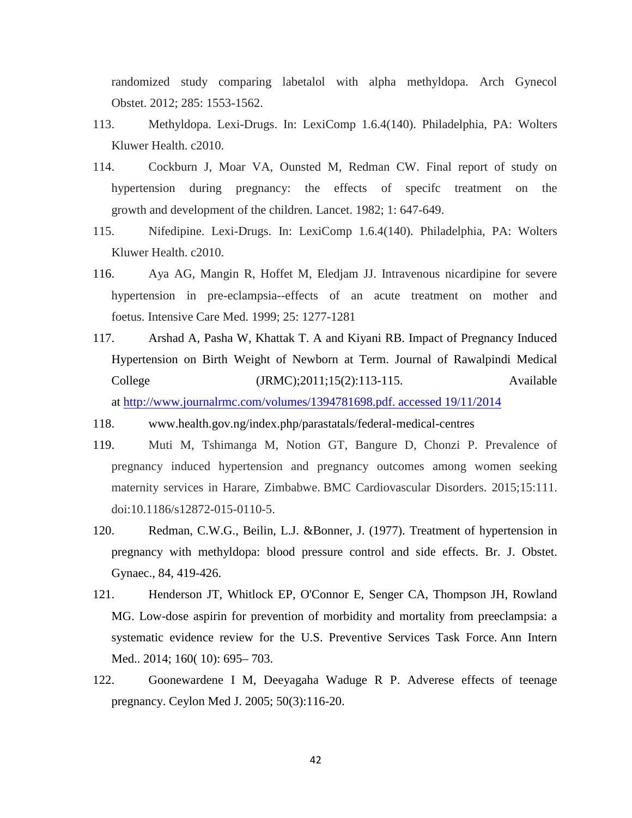randomized study comparing labetalol with alpha methyldopa. Arch Gynecol Obstet. 2012; 285: 1553-1562.

- 113. Methyldopa. Lexi-Drugs. In: LexiComp 1.6.4(140). Philadelphia, PA: Wolters Kluwer Health. c2010.
- 114. Cockburn J, Moar VA, Ounsted M, Redman CW. Final report of study on hypertension during pregnancy: the effects of specifc treatment on the growth and development of the children. Lancet. 1982; 1: 647-649.
- 115. Nifedipine. Lexi-Drugs. In: LexiComp 1.6.4(140). Philadelphia, PA: Wolters Kluwer Health. c2010.
- 116. Aya AG, Mangin R, Hoffet M, Eledjam JJ. Intravenous nicardipine for severe hypertension in pre-eclampsia--effects of an acute treatment on mother and foetus. Intensive Care Med. 1999; 25: 1277-1281
- 117. Arshad A, Pasha W, Khattak T. A and Kiyani RB. Impact of Pregnancy Induced Hypertension on Birth Weight of Newborn at Term. Journal of Rawalpindi Medical College (JRMC);2011;15(2):113-115. Available at [http://www.journalrmc.com/volumes/1394781698.pdf. accessed 19/11/2014](http://www.journalrmc.com/volumes/1394781698.pdf.%20accessed%2019/11/2014)
- 118. www.health.gov.ng/index.php/parastatals/federal-medical-centres
- 119. Muti M, Tshimanga M, Notion GT, Bangure D, Chonzi P. Prevalence of pregnancy induced hypertension and pregnancy outcomes among women seeking maternity services in Harare, Zimbabwe. BMC Cardiovascular Disorders. 2015;15:111. doi:10.1186/s12872-015-0110-5.
- 120. Redman, C.W.G., Beilin, L.J. &Bonner, J. (1977). Treatment of hypertension in pregnancy with methyldopa: blood pressure control and side effects. Br. J. Obstet. Gynaec., 84, 419-426.
- 121. Henderson JT, Whitlock EP, O'Connor E, Senger CA, Thompson JH, Rowland MG. Low-dose aspirin for prevention of morbidity and mortality from preeclampsia: a systematic evidence review for the U.S. Preventive Services Task Force. Ann Intern Med.. 2014; 160( 10): 695– 703.
- 122. Goonewardene I M, Deeyagaha Waduge R P. Adverese effects of teenage pregnancy. Ceylon Med J. 2005; 50(3):116-20.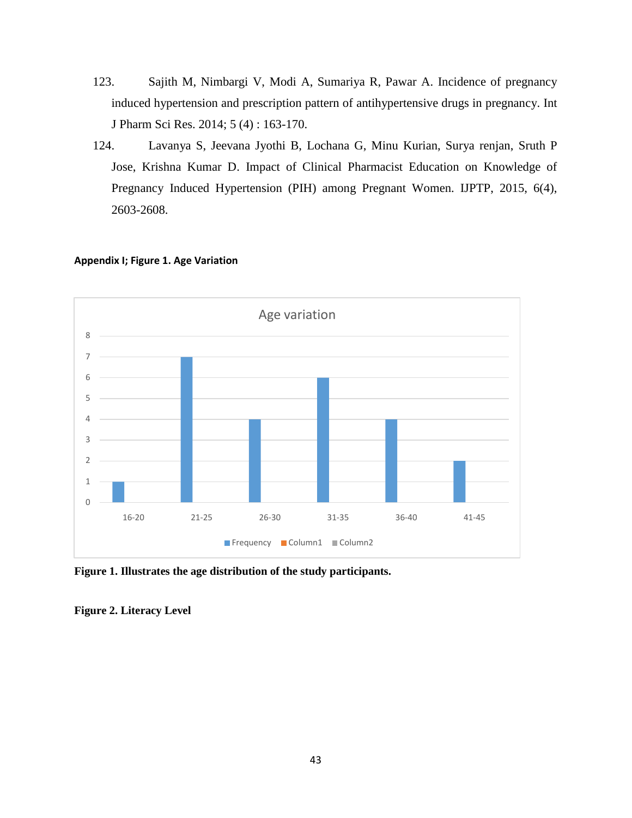- 123. Sajith M, Nimbargi V, Modi A, Sumariya R, Pawar A. Incidence of pregnancy induced hypertension and prescription pattern of antihypertensive drugs in pregnancy. Int J Pharm Sci Res. 2014; 5 (4) : 163-170.
- 124. Lavanya S, Jeevana Jyothi B, Lochana G, Minu Kurian, Surya renjan, Sruth P Jose, Krishna Kumar D. Impact of Clinical Pharmacist Education on Knowledge of Pregnancy Induced Hypertension (PIH) among Pregnant Women. IJPTP, 2015, 6(4), 2603-2608.



#### **Appendix I; Figure 1. Age Variation**

**Figure 1. Illustrates the age distribution of the study participants.**

**Figure 2. Literacy Level**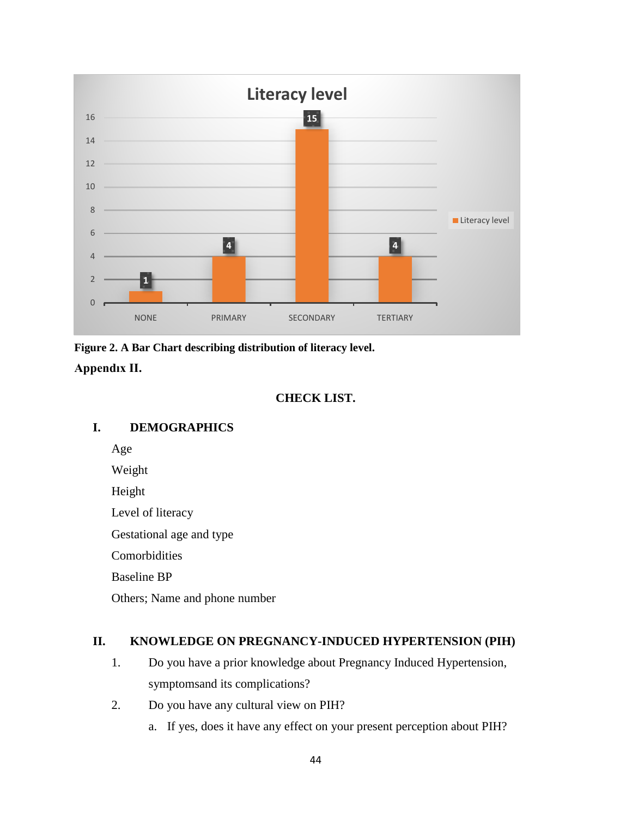

**Figure 2. A Bar Chart describing distribution of literacy level.**

**Appendıx II.**

# **CHECK LIST.**

# **I. DEMOGRAPHICS**

Age

Weight

Height

Level of literacy

Gestational age and type

**Comorbidities** 

Baseline BP

Others; Name and phone number

# **II. KNOWLEDGE ON PREGNANCY-INDUCED HYPERTENSION (PIH)**

- 1. Do you have a prior knowledge about Pregnancy Induced Hypertension, symptomsand its complications?
- 2. Do you have any cultural view on PIH?
	- a. If yes, does it have any effect on your present perception about PIH?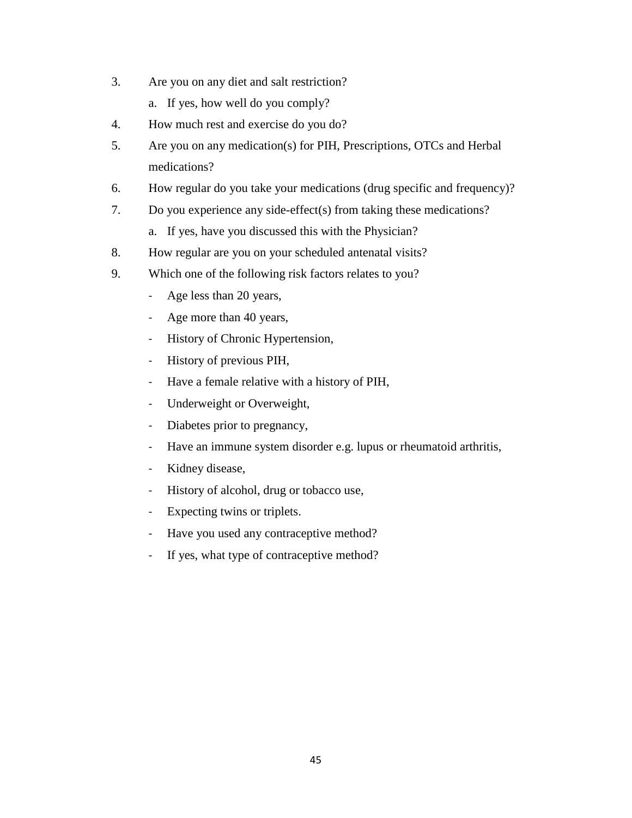- 3. Are you on any diet and salt restriction?
	- a. If yes, how well do you comply?
- 4. How much rest and exercise do you do?
- 5. Are you on any medication(s) for PIH, Prescriptions, OTCs and Herbal medications?
- 6. How regular do you take your medications (drug specific and frequency)?
- 7. Do you experience any side-effect(s) from taking these medications?
	- a. If yes, have you discussed this with the Physician?
- 8. How regular are you on your scheduled antenatal visits?
- 9. Which one of the following risk factors relates to you?
	- Age less than 20 years,
	- Age more than 40 years,
	- History of Chronic Hypertension,
	- History of previous PIH,
	- Have a female relative with a history of PIH,
	- Underweight or Overweight,
	- Diabetes prior to pregnancy,
	- Have an immune system disorder e.g. lupus or rheumatoid arthritis,
	- Kidney disease,
	- History of alcohol, drug or tobacco use,
	- Expecting twins or triplets.
	- Have you used any contraceptive method?
	- If yes, what type of contraceptive method?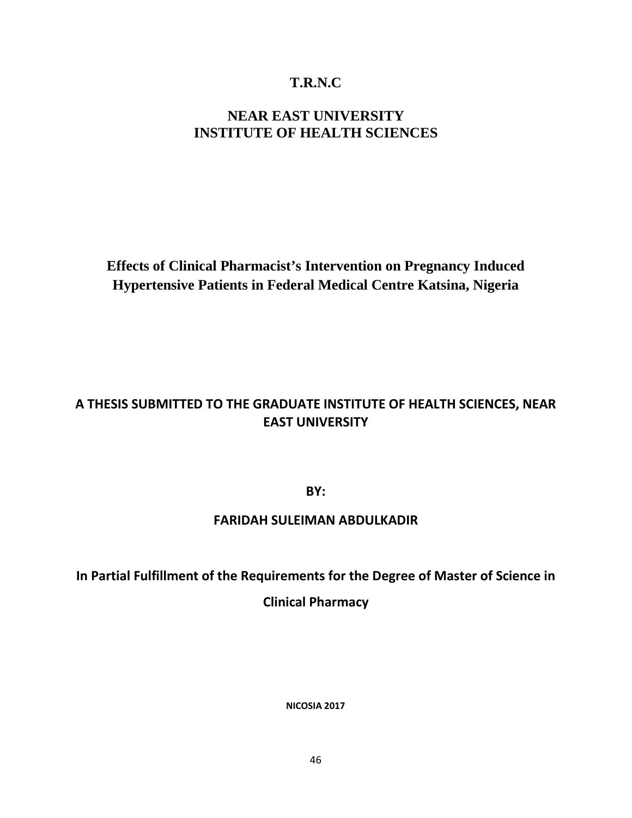# **T.R.N.C**

# **NEAR EAST UNIVERSITY INSTITUTE OF HEALTH SCIENCES**

**Effects of Clinical Pharmacist's Intervention on Pregnancy Induced Hypertensive Patients in Federal Medical Centre Katsina, Nigeria** 

# **A THESIS SUBMITTED TO THE GRADUATE INSTITUTE OF HEALTH SCIENCES, NEAR EAST UNIVERSITY**

**BY:**

# **FARIDAH SULEIMAN ABDULKADIR**

# **In Partial Fulfillment of the Requirements for the Degree of Master of Science in**

# **Clinical Pharmacy**

**NICOSIA 2017**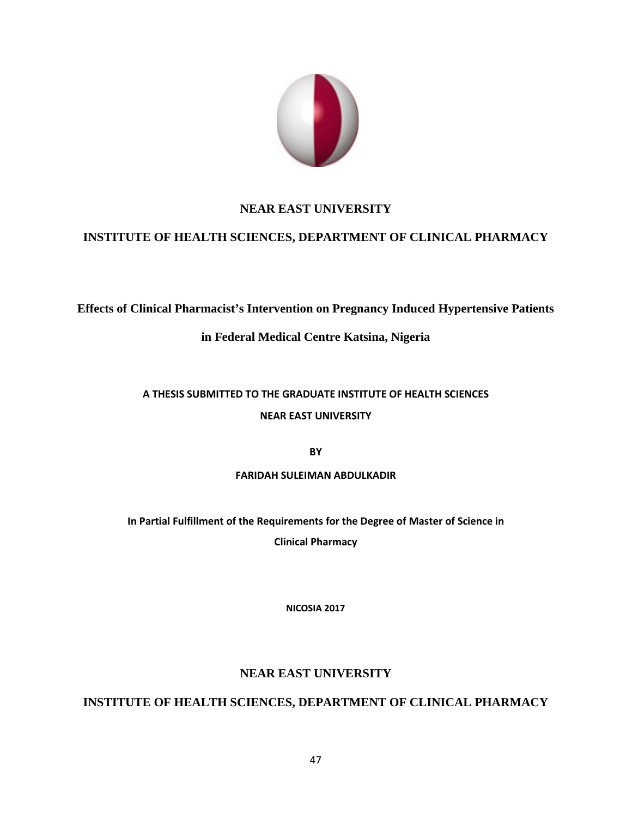

# **NEAR EAST UNIVERSITY**

# **INSTITUTE OF HEALTH SCIENCES, DEPARTMENT OF CLINICAL PHARMACY**

**Effects of Clinical Pharmacist's Intervention on Pregnancy Induced Hypertensive Patients** 

# **in Federal Medical Centre Katsina, Nigeria**

# **A THESIS SUBMITTED TO THE GRADUATE INSTITUTE OF HEALTH SCIENCES**

# **NEAR EAST UNIVERSITY**

**BY**

# **FARIDAH SULEIMAN ABDULKADIR**

**In Partial Fulfillment of the Requirements for the Degree of Master of Science in Clinical Pharmacy**

**NICOSIA 2017**

# **NEAR EAST UNIVERSITY**

# **INSTITUTE OF HEALTH SCIENCES, DEPARTMENT OF CLINICAL PHARMACY**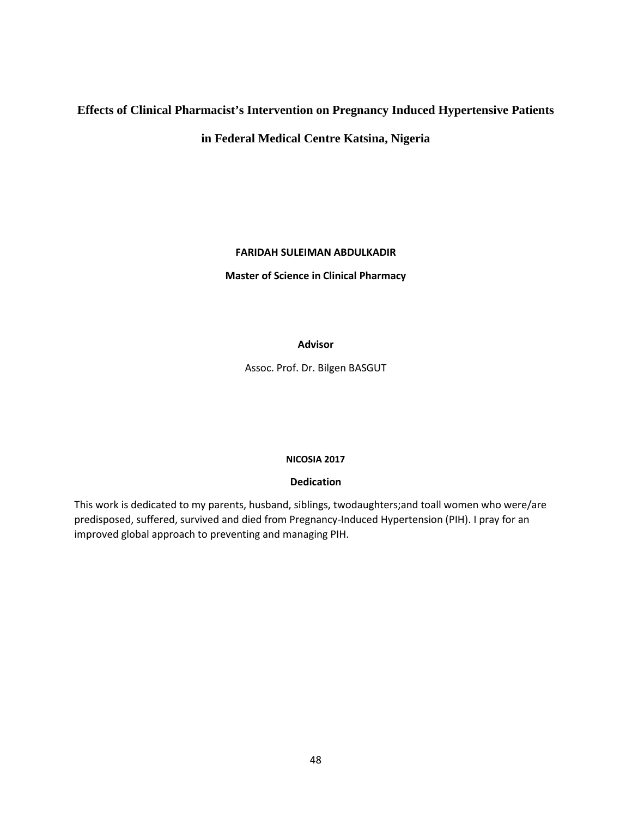# **Effects of Clinical Pharmacist's Intervention on Pregnancy Induced Hypertensive Patients**

**in Federal Medical Centre Katsina, Nigeria** 

## **FARIDAH SULEIMAN ABDULKADIR**

**Master of Science in Clinical Pharmacy**

## **Advisor**

Assoc. Prof. Dr. Bilgen BASGUT

## **NICOSIA 2017**

## **Dedication**

This work is dedicated to my parents, husband, siblings, twodaughters;and toall women who were/are predisposed, suffered, survived and died from Pregnancy-Induced Hypertension (PIH). I pray for an improved global approach to preventing and managing PIH.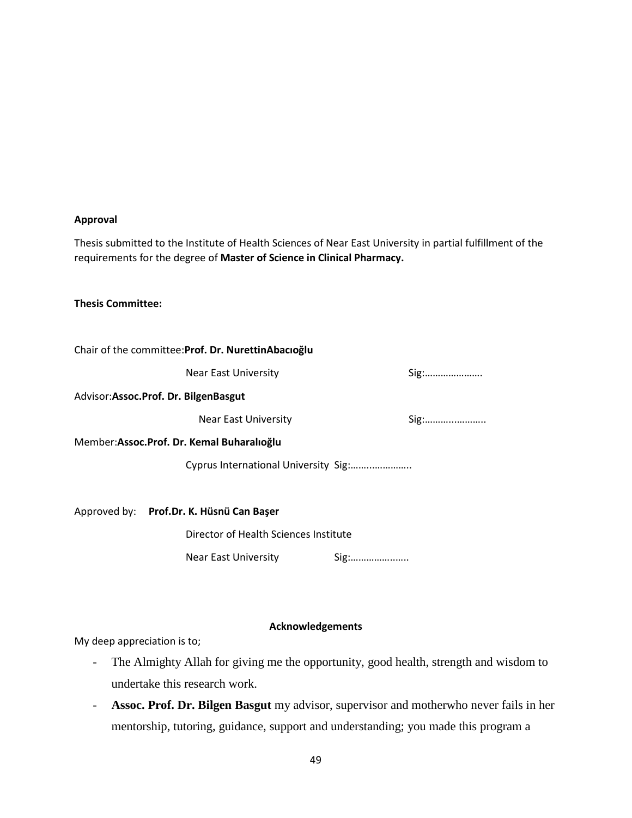#### **Approval**

Thesis submitted to the Institute of Health Sciences of Near East University in partial fulfillment of the requirements for the degree of **Master of Science in Clinical Pharmacy.**

#### **Thesis Committee:**

|                                      | Chair of the committee: Prof. Dr. Nurettin Abacioglu |      |                                                         |
|--------------------------------------|------------------------------------------------------|------|---------------------------------------------------------|
|                                      | <b>Near East University</b>                          |      | Sig:                                                    |
| Advisor:Assoc.Prof. Dr. BilgenBasgut |                                                      |      |                                                         |
|                                      | Near East University                                 |      | $Sig: \ldots \ldots \ldots \ldots \ldots \ldots \ldots$ |
|                                      | Member:Assoc.Prof. Dr. Kemal Buharalioğlu            |      |                                                         |
|                                      | Cyprus International University Sig:                 |      |                                                         |
|                                      |                                                      |      |                                                         |
|                                      | Approved by: Prof.Dr. K. Hüsnü Can Başer             |      |                                                         |
|                                      | Director of Health Sciences Institute                |      |                                                         |
|                                      | <b>Near East University</b>                          | Sig: |                                                         |
|                                      |                                                      |      |                                                         |

#### **Acknowledgements**

My deep appreciation is to;

- The Almighty Allah for giving me the opportunity, good health, strength and wisdom to undertake this research work.
- **Assoc. Prof. Dr. Bilgen Basgut** my advisor, supervisor and motherwho never fails in her mentorship, tutoring, guidance, support and understanding; you made this program a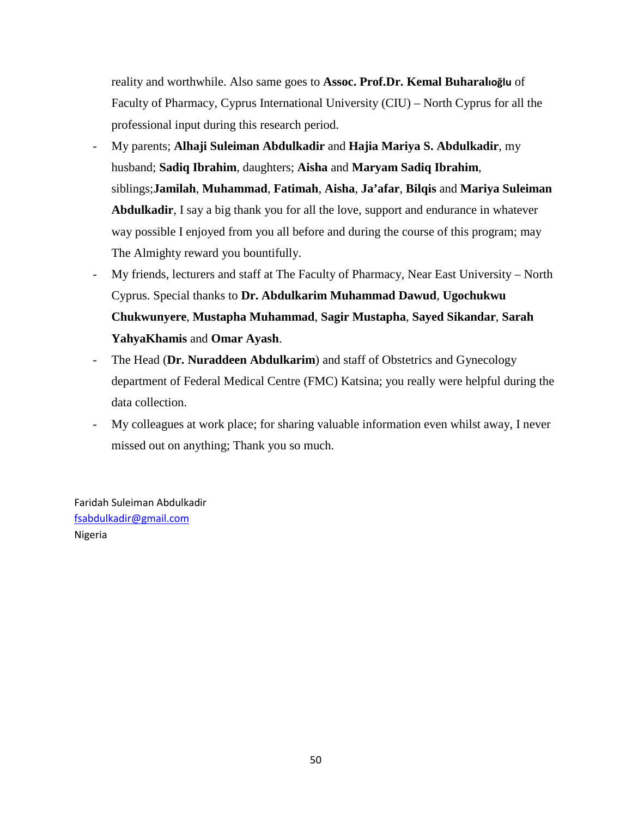reality and worthwhile. Also same goes to **Assoc. Prof.Dr. Kemal Buharalıoğlu** of Faculty of Pharmacy, Cyprus International University (CIU) – North Cyprus for all the professional input during this research period.

- My parents; **Alhaji Suleiman Abdulkadir** and **Hajia Mariya S. Abdulkadir**, my husband; **Sadiq Ibrahim**, daughters; **Aisha** and **Maryam Sadiq Ibrahim**, siblings;**Jamilah**, **Muhammad**, **Fatimah**, **Aisha**, **Ja'afar**, **Bilqis** and **Mariya Suleiman Abdulkadir**, I say a big thank you for all the love, support and endurance in whatever way possible I enjoyed from you all before and during the course of this program; may The Almighty reward you bountifully.
- My friends, lecturers and staff at The Faculty of Pharmacy, Near East University North Cyprus. Special thanks to **Dr. Abdulkarim Muhammad Dawud**, **Ugochukwu Chukwunyere**, **Mustapha Muhammad**, **Sagir Mustapha**, **Sayed Sikandar**, **Sarah YahyaKhamis** and **Omar Ayash**.
- The Head (**Dr. Nuraddeen Abdulkarim**) and staff of Obstetrics and Gynecology department of Federal Medical Centre (FMC) Katsina; you really were helpful during the data collection.
- My colleagues at work place; for sharing valuable information even whilst away, I never missed out on anything; Thank you so much.

Faridah Suleiman Abdulkadir [fsabdulkadir@gmail.com](mailto:fsabdulkadir@gmail.com) Nigeria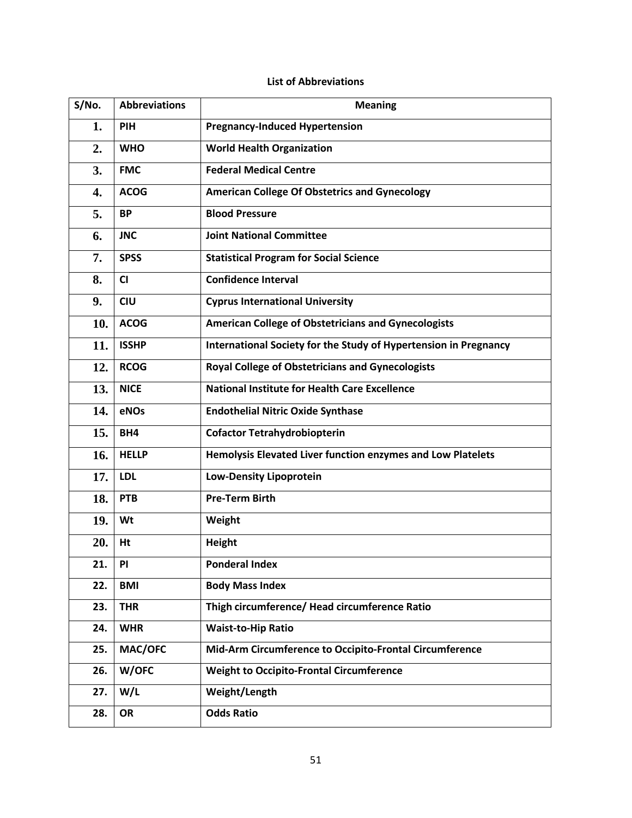# **List of Abbreviations**

| S/No. | <b>Abbreviations</b> | <b>Meaning</b>                                                   |
|-------|----------------------|------------------------------------------------------------------|
| 1.    | PIH                  | <b>Pregnancy-Induced Hypertension</b>                            |
| 2.    | <b>WHO</b>           | <b>World Health Organization</b>                                 |
| 3.    | <b>FMC</b>           | <b>Federal Medical Centre</b>                                    |
| 4.    | <b>ACOG</b>          | <b>American College Of Obstetrics and Gynecology</b>             |
| 5.    | <b>BP</b>            | <b>Blood Pressure</b>                                            |
| 6.    | <b>JNC</b>           | <b>Joint National Committee</b>                                  |
| 7.    | <b>SPSS</b>          | <b>Statistical Program for Social Science</b>                    |
| 8.    | CI                   | <b>Confidence Interval</b>                                       |
| 9.    | <b>CIU</b>           | <b>Cyprus International University</b>                           |
| 10.   | <b>ACOG</b>          | <b>American College of Obstetricians and Gynecologists</b>       |
| 11.   | <b>ISSHP</b>         | International Society for the Study of Hypertension in Pregnancy |
| 12.   | <b>RCOG</b>          | <b>Royal College of Obstetricians and Gynecologists</b>          |
| 13.   | <b>NICE</b>          | <b>National Institute for Health Care Excellence</b>             |
| 14.   | eNOs                 | <b>Endothelial Nitric Oxide Synthase</b>                         |
| 15.   | BH4                  | <b>Cofactor Tetrahydrobiopterin</b>                              |
| 16.   | <b>HELLP</b>         | Hemolysis Elevated Liver function enzymes and Low Platelets      |
| 17.   | <b>LDL</b>           | <b>Low-Density Lipoprotein</b>                                   |
| 18.   | PTB                  | <b>Pre-Term Birth</b>                                            |
| 19.   | Wt                   | Weight                                                           |
| 20.   | Ht                   | <b>Height</b>                                                    |
| 21.   | PI                   | <b>Ponderal Index</b>                                            |
| 22.   | <b>BMI</b>           | <b>Body Mass Index</b>                                           |
| 23.   | <b>THR</b>           | Thigh circumference/ Head circumference Ratio                    |
| 24.   | <b>WHR</b>           | <b>Waist-to-Hip Ratio</b>                                        |
| 25.   | MAC/OFC              | Mid-Arm Circumference to Occipito-Frontal Circumference          |
| 26.   | W/OFC                | <b>Weight to Occipito-Frontal Circumference</b>                  |
| 27.   | W/L                  | Weight/Length                                                    |
| 28.   | OR                   | <b>Odds Ratio</b>                                                |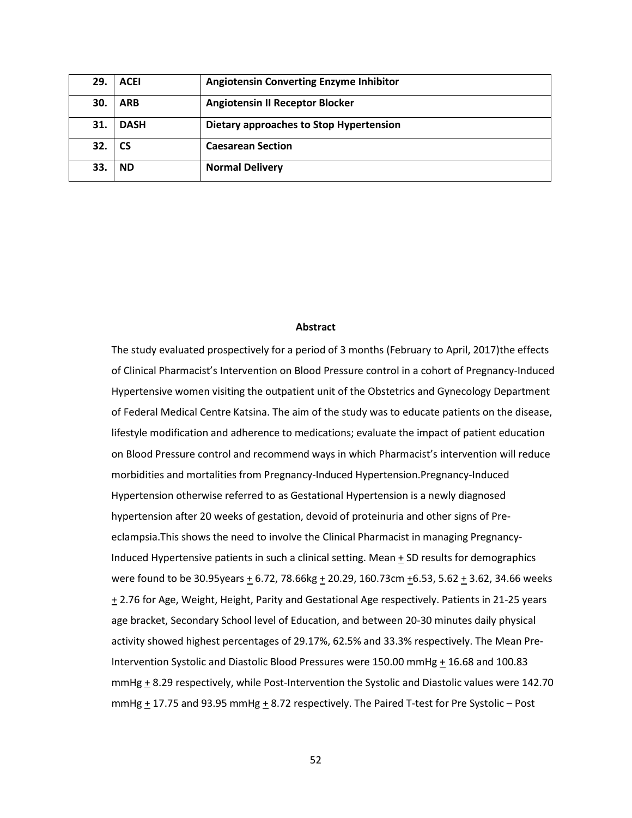| 29  | <b>ACEI</b> | <b>Angiotensin Converting Enzyme Inhibitor</b> |
|-----|-------------|------------------------------------------------|
| 30. | <b>ARB</b>  | <b>Angiotensin II Receptor Blocker</b>         |
| 31. | <b>DASH</b> | Dietary approaches to Stop Hypertension        |
| 32. | <b>CS</b>   | <b>Caesarean Section</b>                       |
| 33. | <b>ND</b>   | <b>Normal Delivery</b>                         |

#### **Abstract**

The study evaluated prospectively for a period of 3 months (February to April, 2017)the effects of Clinical Pharmacist's Intervention on Blood Pressure control in a cohort of Pregnancy-Induced Hypertensive women visiting the outpatient unit of the Obstetrics and Gynecology Department of Federal Medical Centre Katsina. The aim of the study was to educate patients on the disease, lifestyle modification and adherence to medications; evaluate the impact of patient education on Blood Pressure control and recommend ways in which Pharmacist's intervention will reduce morbidities and mortalities from Pregnancy-Induced Hypertension.Pregnancy-Induced Hypertension otherwise referred to as Gestational Hypertension is a newly diagnosed hypertension after 20 weeks of gestation, devoid of proteinuria and other signs of Preeclampsia.This shows the need to involve the Clinical Pharmacist in managing Pregnancy-Induced Hypertensive patients in such a clinical setting. Mean  $\pm$  SD results for demographics were found to be 30.95years  $\pm$  6.72, 78.66kg  $\pm$  20.29, 160.73cm  $\pm$ 6.53, 5.62  $\pm$  3.62, 34.66 weeks + 2.76 for Age, Weight, Height, Parity and Gestational Age respectively. Patients in 21-25 years age bracket, Secondary School level of Education, and between 20-30 minutes daily physical activity showed highest percentages of 29.17%, 62.5% and 33.3% respectively. The Mean Pre-Intervention Systolic and Diastolic Blood Pressures were 150.00 mmHg + 16.68 and 100.83 mmHg + 8.29 respectively, while Post-Intervention the Systolic and Diastolic values were 142.70 mmHg  $\pm$  17.75 and 93.95 mmHg  $\pm$  8.72 respectively. The Paired T-test for Pre Systolic – Post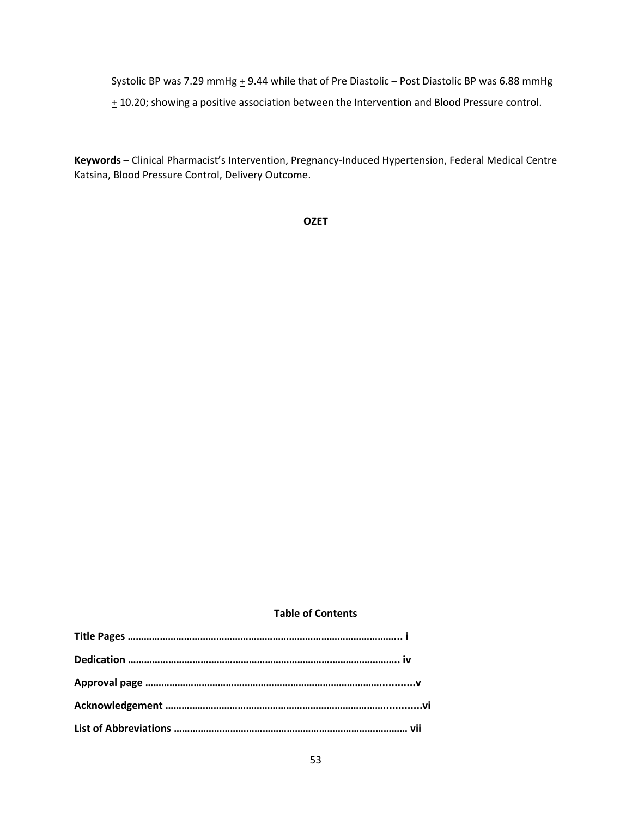Systolic BP was 7.29 mmHg  $\pm$  9.44 while that of Pre Diastolic – Post Diastolic BP was 6.88 mmHg  $\pm$  10.20; showing a positive association between the Intervention and Blood Pressure control.

**Keywords** – Clinical Pharmacist's Intervention, Pregnancy-Induced Hypertension, Federal Medical Centre Katsina, Blood Pressure Control, Delivery Outcome.

**OZET**

## **Table of Contents**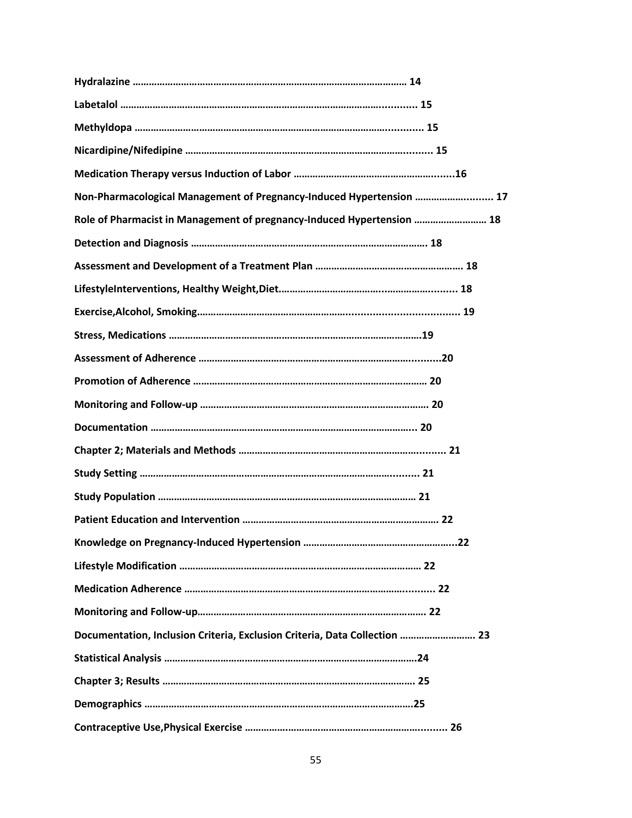| Non-Pharmacological Management of Pregnancy-Induced Hypertension  17       |
|----------------------------------------------------------------------------|
| Role of Pharmacist in Management of pregnancy-Induced Hypertension  18     |
|                                                                            |
|                                                                            |
|                                                                            |
|                                                                            |
|                                                                            |
|                                                                            |
|                                                                            |
|                                                                            |
|                                                                            |
|                                                                            |
|                                                                            |
|                                                                            |
|                                                                            |
|                                                                            |
|                                                                            |
|                                                                            |
|                                                                            |
| Documentation, Inclusion Criteria, Exclusion Criteria, Data Collection  23 |
|                                                                            |
|                                                                            |
|                                                                            |
|                                                                            |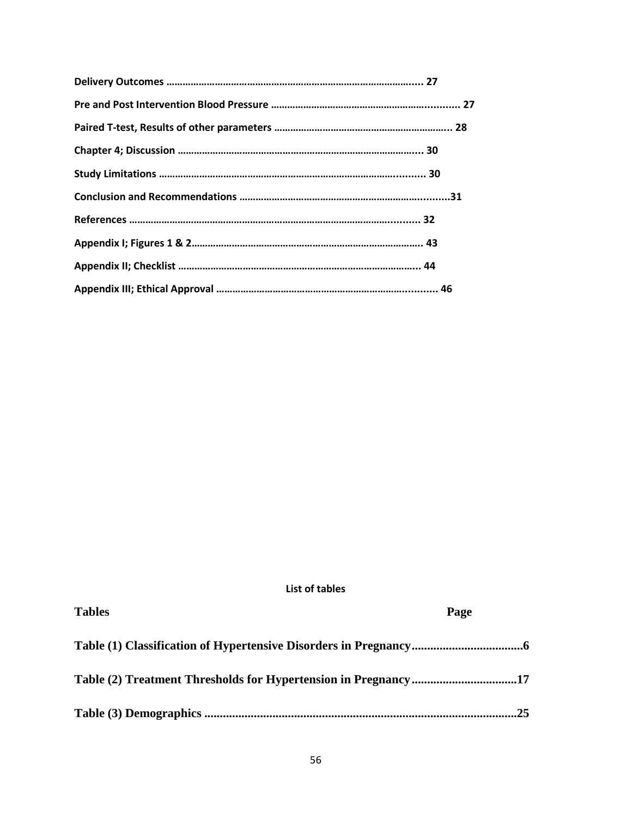**List of tables**

| 25 |
|----|

**Tables Page**